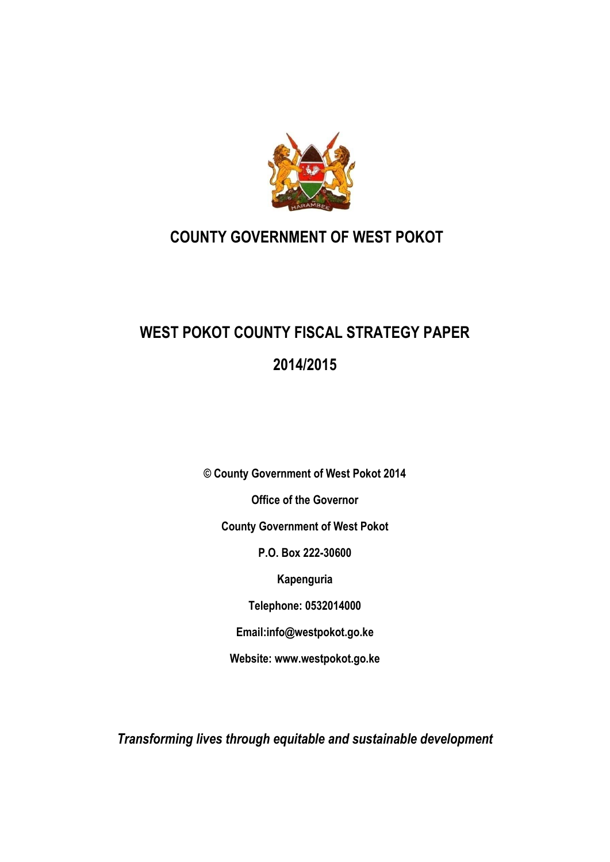

## **COUNTY GOVERNMENT OF WEST POKOT**

# **WEST POKOT COUNTY FISCAL STRATEGY PAPER 2014/2015**

**© County Government of West Pokot 2014 Office of the Governor County Government of West Pokot P.O. Box 222-30600 Kapenguria Telephone: 0532014000 Email:info@westpokot.go.ke Website: www.westpokot.go.ke**

*Transforming lives through equitable and sustainable development*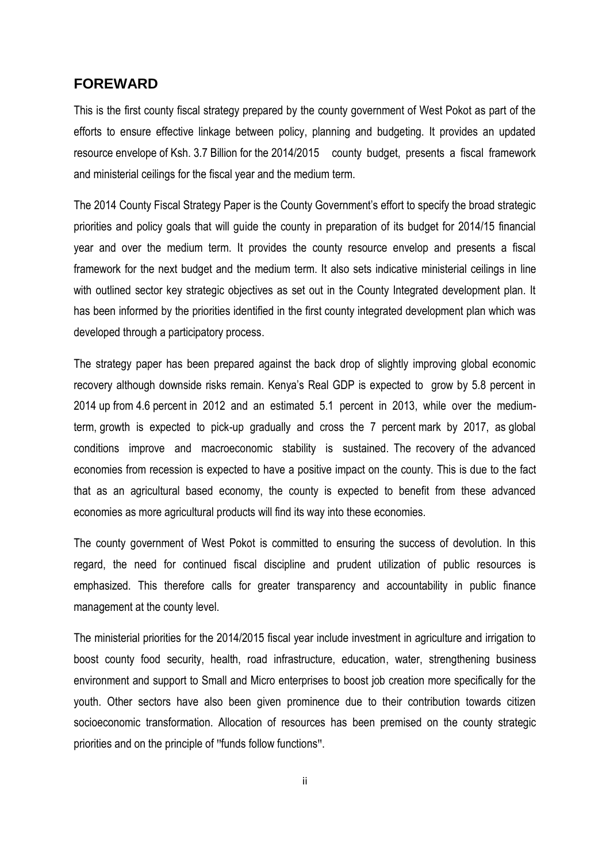### <span id="page-1-0"></span>**FOREWARD**

This is the first county fiscal strategy prepared by the county government of West Pokot as part of the efforts to ensure effective linkage between policy, planning and budgeting. It provides an updated resource envelope of Ksh. 3.7 Billion for the 2014/2015 county budget, presents a fiscal framework and ministerial ceilings for the fiscal year and the medium term.

The 2014 County Fiscal Strategy Paper is the County Government's effort to specify the broad strategic priorities and policy goals that will guide the county in preparation of its budget for 2014/15 financial year and over the medium term. It provides the county resource envelop and presents a fiscal framework for the next budget and the medium term. It also sets indicative ministerial ceilings in line with outlined sector key strategic objectives as set out in the County Integrated development plan. It has been informed by the priorities identified in the first county integrated development plan which was developed through a participatory process.

The strategy paper has been prepared against the back drop of slightly improving global economic recovery although downside risks remain. Kenya's Real GDP is expected to grow by 5.8 percent in 2014 up from 4.6 percent in 2012 and an estimated 5.1 percent in 2013, while over the mediumterm, growth is expected to pick-up gradually and cross the 7 percent mark by 2017, as global conditions improve and macroeconomic stability is sustained. The recovery of the advanced economies from recession is expected to have a positive impact on the county. This is due to the fact that as an agricultural based economy, the county is expected to benefit from these advanced economies as more agricultural products will find its way into these economies.

The county government of West Pokot is committed to ensuring the success of devolution. In this regard, the need for continued fiscal discipline and prudent utilization of public resources is emphasized. This therefore calls for greater transparency and accountability in public finance management at the county level.

The ministerial priorities for the 2014/2015 fiscal year include investment in agriculture and irrigation to boost county food security, health, road infrastructure, education, water, strengthening business environment and support to Small and Micro enterprises to boost job creation more specifically for the youth. Other sectors have also been given prominence due to their contribution towards citizen socioeconomic transformation. Allocation of resources has been premised on the county strategic priorities and on the principle of "funds follow functions".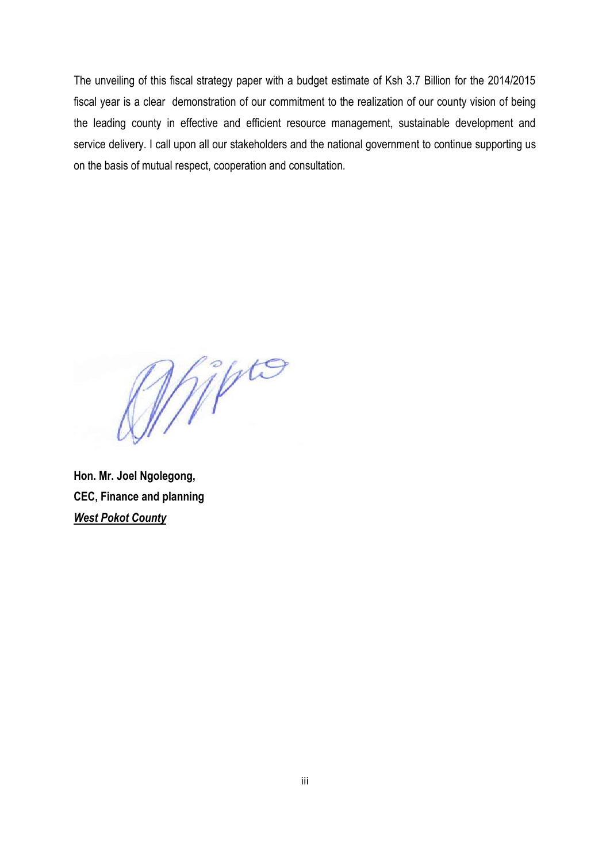The unveiling of this fiscal strategy paper with a budget estimate of Ksh 3.7 Billion for the 2014/2015 fiscal year is a clear demonstration of our commitment to the realization of our county vision of being the leading county in effective and efficient resource management, sustainable development and service delivery. I call upon all our stakeholders and the national government to continue supporting us on the basis of mutual respect, cooperation and consultation.

Wipto

**Hon. Mr. Joel Ngolegong, CEC, Finance and planning** *West Pokot County*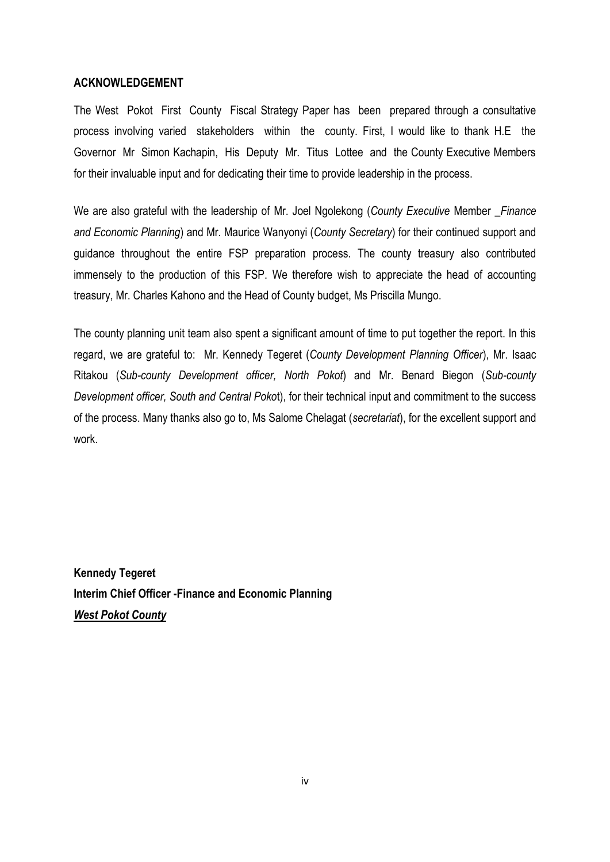#### <span id="page-3-0"></span>**ACKNOWLEDGEMENT**

The West Pokot First County Fiscal Strategy Paper has been prepared through a consultative process involving varied stakeholders within the county. First, I would like to thank H.E the Governor Mr Simon Kachapin, His Deputy Mr. Titus Lottee and the County Executive Members for their invaluable input and for dedicating their time to provide leadership in the process.

We are also grateful with the leadership of Mr. Joel Ngolekong (*County Executive* Member \_*Finance and Economic Planning*) and Mr. Maurice Wanyonyi (*County Secretary*) for their continued support and guidance throughout the entire FSP preparation process. The county treasury also contributed immensely to the production of this FSP. We therefore wish to appreciate the head of accounting treasury, Mr. Charles Kahono and the Head of County budget, Ms Priscilla Mungo.

The county planning unit team also spent a significant amount of time to put together the report. In this regard, we are grateful to: Mr. Kennedy Tegeret (*County Development Planning Officer*), Mr. Isaac Ritakou (*Sub-county Development officer, North Pokot*) and Mr. Benard Biegon (*Sub-county Development officer, South and Central Poko*t), for their technical input and commitment to the success of the process. Many thanks also go to, Ms Salome Chelagat (*secretariat*), for the excellent support and work.

**Kennedy Tegeret Interim Chief Officer -Finance and Economic Planning** *West Pokot County*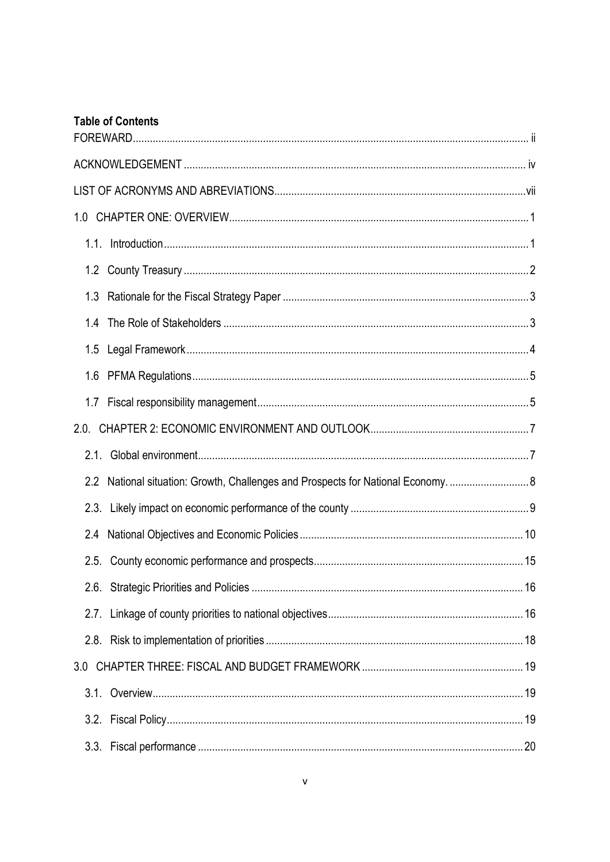| <b>Table of Contents</b> |  |
|--------------------------|--|
|                          |  |
|                          |  |
|                          |  |
|                          |  |
|                          |  |
|                          |  |
| 1.4                      |  |
|                          |  |
| 1.6                      |  |
| 1.7                      |  |
|                          |  |
|                          |  |
| $2.2\phantom{0}$         |  |
|                          |  |
| 2.4                      |  |
|                          |  |
| 2.6.                     |  |
| 2.7.                     |  |
| 2.8.                     |  |
| 3.0                      |  |
|                          |  |
|                          |  |
|                          |  |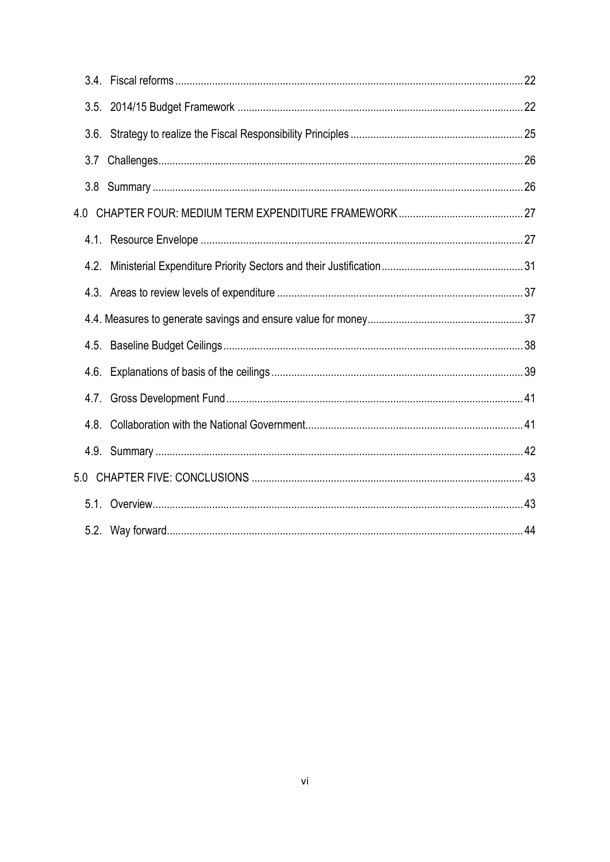| 3.7  |  |
|------|--|
| 3.8  |  |
|      |  |
|      |  |
|      |  |
|      |  |
|      |  |
|      |  |
|      |  |
|      |  |
| 4.8. |  |
|      |  |
|      |  |
|      |  |
|      |  |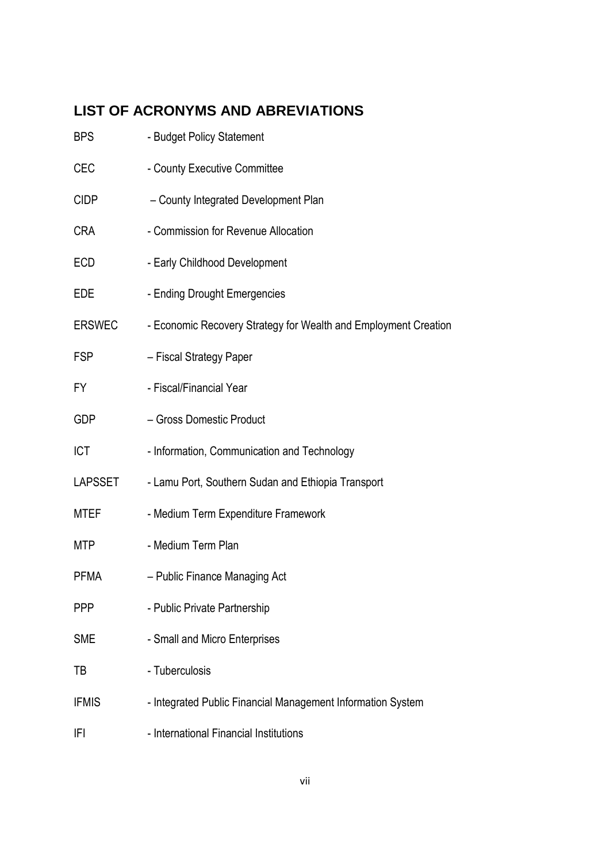## <span id="page-6-0"></span>**LIST OF ACRONYMS AND ABREVIATIONS**

| <b>BPS</b>     | - Budget Policy Statement                                       |
|----------------|-----------------------------------------------------------------|
| CEC            | - County Executive Committee                                    |
| <b>CIDP</b>    | - County Integrated Development Plan                            |
| <b>CRA</b>     | - Commission for Revenue Allocation                             |
| <b>ECD</b>     | - Early Childhood Development                                   |
| EDE            | - Ending Drought Emergencies                                    |
| <b>ERSWEC</b>  | - Economic Recovery Strategy for Wealth and Employment Creation |
| <b>FSP</b>     | - Fiscal Strategy Paper                                         |
| FY.            | - Fiscal/Financial Year                                         |
| <b>GDP</b>     | - Gross Domestic Product                                        |
| <b>ICT</b>     | - Information, Communication and Technology                     |
| <b>LAPSSET</b> | - Lamu Port, Southern Sudan and Ethiopia Transport              |
| <b>MTEF</b>    | - Medium Term Expenditure Framework                             |
| MTP            | - Medium Term Plan                                              |
| <b>PFMA</b>    | - Public Finance Managing Act                                   |
| <b>PPP</b>     | - Public Private Partnership                                    |
| <b>SME</b>     | - Small and Micro Enterprises                                   |
| TB             | - Tuberculosis                                                  |
| <b>IFMIS</b>   | - Integrated Public Financial Management Information System     |
| IFI            | - International Financial Institutions                          |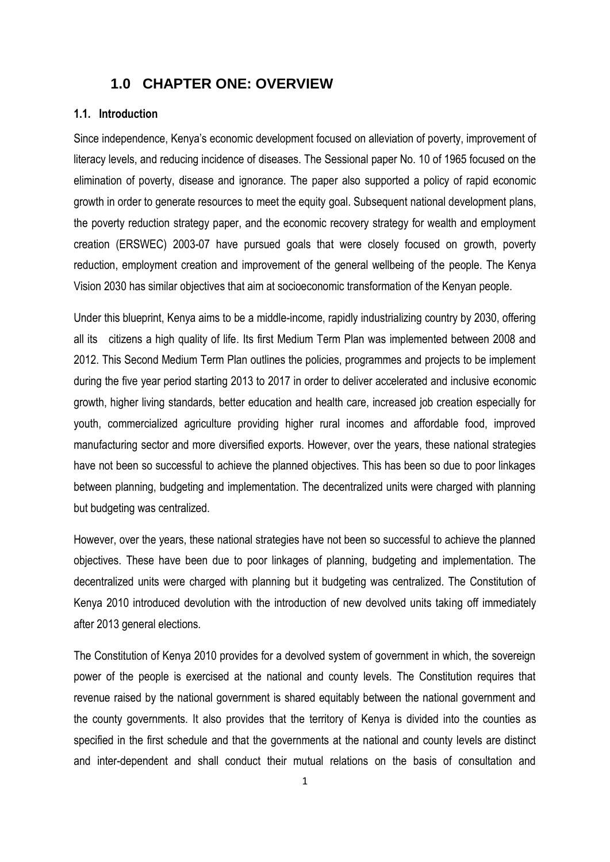### <span id="page-7-0"></span>**1.0 CHAPTER ONE: OVERVIEW**

#### <span id="page-7-1"></span>**1.1. Introduction**

Since independence, Kenya's economic development focused on alleviation of poverty, improvement of literacy levels, and reducing incidence of diseases. The Sessional paper No. 10 of 1965 focused on the elimination of poverty, disease and ignorance. The paper also supported a policy of rapid economic growth in order to generate resources to meet the equity goal. Subsequent national development plans, the poverty reduction strategy paper, and the economic recovery strategy for wealth and employment creation (ERSWEC) 2003-07 have pursued goals that were closely focused on growth, poverty reduction, employment creation and improvement of the general wellbeing of the people. The Kenya Vision 2030 has similar objectives that aim at socioeconomic transformation of the Kenyan people.

Under this blueprint, Kenya aims to be a middle-income, rapidly industrializing country by 2030, offering all its citizens a high quality of life. Its first Medium Term Plan was implemented between 2008 and 2012. This Second Medium Term Plan outlines the policies, programmes and projects to be implement during the five year period starting 2013 to 2017 in order to deliver accelerated and inclusive economic growth, higher living standards, better education and health care, increased job creation especially for youth, commercialized agriculture providing higher rural incomes and affordable food, improved manufacturing sector and more diversified exports. However, over the years, these national strategies have not been so successful to achieve the planned objectives. This has been so due to poor linkages between planning, budgeting and implementation. The decentralized units were charged with planning but budgeting was centralized.

However, over the years, these national strategies have not been so successful to achieve the planned objectives. These have been due to poor linkages of planning, budgeting and implementation. The decentralized units were charged with planning but it budgeting was centralized. The Constitution of Kenya 2010 introduced devolution with the introduction of new devolved units taking off immediately after 2013 general elections.

The Constitution of Kenya 2010 provides for a devolved system of government in which, the sovereign power of the people is exercised at the national and county levels. The Constitution requires that revenue raised by the national government is shared equitably between the national government and the county governments. It also provides that the territory of Kenya is divided into the counties as specified in the first schedule and that the governments at the national and county levels are distinct and inter-dependent and shall conduct their mutual relations on the basis of consultation and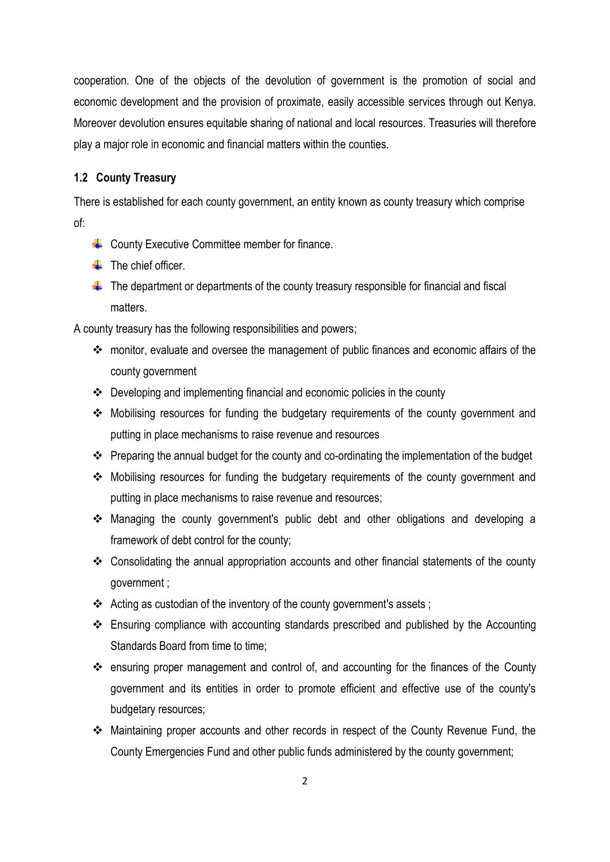cooperation. One of the objects of the devolution of government is the promotion of social and economic development and the provision of proximate, easily accessible services through out Kenya. Moreover devolution ensures equitable sharing of national and local resources. Treasuries will therefore play a major role in economic and financial matters within the counties.

#### <span id="page-8-0"></span>**1.2 County Treasury**

There is established for each county government, an entity known as county treasury which comprise of:

- $\leftarrow$  County Executive Committee member for finance.
- $\leftarrow$  The chief officer.
- $\ddot{\phantom{1}}$  The department or departments of the county treasury responsible for financial and fiscal matters.

A county treasury has the following responsibilities and powers;

- monitor, evaluate and oversee the management of public finances and economic affairs of the county government
- $\cdot \cdot$  Developing and implementing financial and economic policies in the county
- \* Mobilising resources for funding the budgetary requirements of the county government and putting in place mechanisms to raise revenue and resources
- \* Preparing the annual budget for the county and co-ordinating the implementation of the budget
- Mobilising resources for funding the budgetary requirements of the county government and putting in place mechanisms to raise revenue and resources;
- Managing the county government's public debt and other obligations and developing a framework of debt control for the county;
- Consolidating the annual appropriation accounts and other financial statements of the county government ;
- Acting as custodian of the inventory of the county government's assets;
- Ensuring compliance with accounting standards prescribed and published by the Accounting Standards Board from time to time;
- ensuring proper management and control of, and accounting for the finances of the County government and its entities in order to promote efficient and effective use of the county's budgetary resources;
- Maintaining proper accounts and other records in respect of the County Revenue Fund, the County Emergencies Fund and other public funds administered by the county government;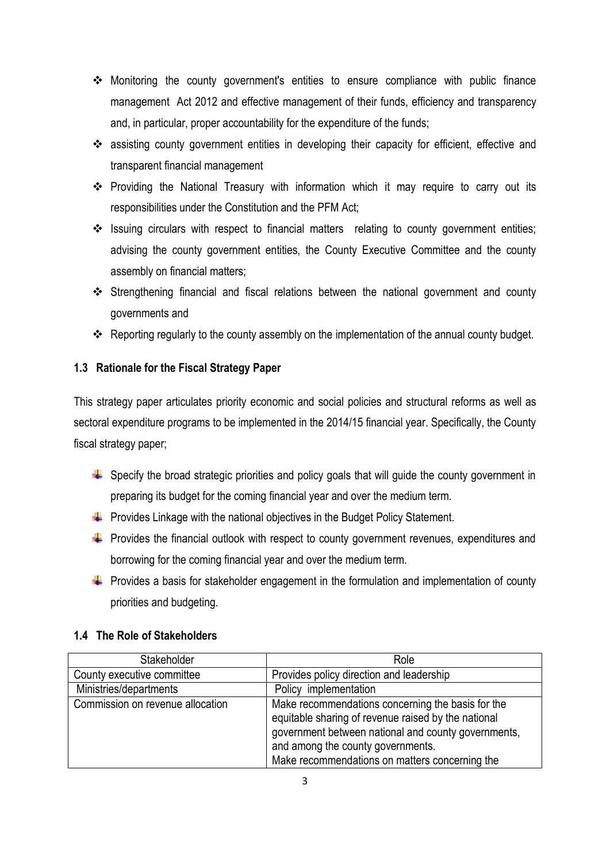- Monitoring the county government's entities to ensure compliance with public finance management Act 2012 and effective management of their funds, efficiency and transparency and, in particular, proper accountability for the expenditure of the funds;
- \* assisting county government entities in developing their capacity for efficient, effective and transparent financial management
- \* Providing the National Treasury with information which it may require to carry out its responsibilities under the Constitution and the PFM Act;
- \* Issuing circulars with respect to financial matters relating to county government entities; advising the county government entities, the County Executive Committee and the county assembly on financial matters;
- Strengthening financial and fiscal relations between the national government and county governments and
- \* Reporting regularly to the county assembly on the implementation of the annual county budget.

### <span id="page-9-0"></span>**1.3 Rationale for the Fiscal Strategy Paper**

This strategy paper articulates priority economic and social policies and structural reforms as well as sectoral expenditure programs to be implemented in the 2014/15 financial year. Specifically, the County fiscal strategy paper;

- $\ddot{\phantom{1}}$  Specify the broad strategic priorities and policy goals that will guide the county government in preparing its budget for the coming financial year and over the medium term.
- $\downarrow$  Provides Linkage with the national objectives in the Budget Policy Statement.
- $\downarrow$  Provides the financial outlook with respect to county government revenues, expenditures and borrowing for the coming financial year and over the medium term.
- $\ddot{\phantom{1}}$  Provides a basis for stakeholder engagement in the formulation and implementation of county priorities and budgeting.

### <span id="page-9-1"></span>**1.4 The Role of Stakeholders**

| Stakeholder                      | Role                                                                                                                                                                                                                                                   |
|----------------------------------|--------------------------------------------------------------------------------------------------------------------------------------------------------------------------------------------------------------------------------------------------------|
| County executive committee       | Provides policy direction and leadership                                                                                                                                                                                                               |
| Ministries/departments           | Policy implementation                                                                                                                                                                                                                                  |
| Commission on revenue allocation | Make recommendations concerning the basis for the<br>equitable sharing of revenue raised by the national<br>government between national and county governments,<br>and among the county governments.<br>Make recommendations on matters concerning the |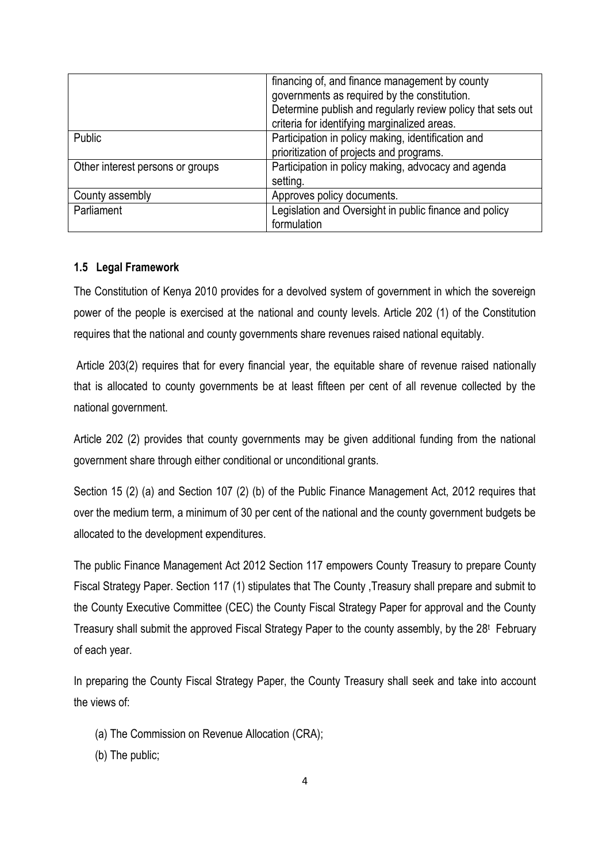|                                  | financing of, and finance management by county<br>governments as required by the constitution.<br>Determine publish and regularly review policy that sets out<br>criteria for identifying marginalized areas. |
|----------------------------------|---------------------------------------------------------------------------------------------------------------------------------------------------------------------------------------------------------------|
| <b>Public</b>                    | Participation in policy making, identification and<br>prioritization of projects and programs.                                                                                                                |
| Other interest persons or groups | Participation in policy making, advocacy and agenda<br>setting.                                                                                                                                               |
| County assembly                  | Approves policy documents.                                                                                                                                                                                    |
| Parliament                       | Legislation and Oversight in public finance and policy<br>formulation                                                                                                                                         |

### <span id="page-10-0"></span>**1.5 Legal Framework**

The Constitution of Kenya 2010 provides for a devolved system of government in which the sovereign power of the people is exercised at the national and county levels. Article 202 (1) of the Constitution requires that the national and county governments share revenues raised national equitably.

Article 203(2) requires that for every financial year, the equitable share of revenue raised nationally that is allocated to county governments be at least fifteen per cent of all revenue collected by the national government.

Article 202 (2) provides that county governments may be given additional funding from the national government share through either conditional or unconditional grants.

Section 15 (2) (a) and Section 107 (2) (b) of the Public Finance Management Act, 2012 requires that over the medium term, a minimum of 30 per cent of the national and the county government budgets be allocated to the development expenditures.

The public Finance Management Act 2012 Section 117 empowers County Treasury to prepare County Fiscal Strategy Paper. Section 117 (1) stipulates that The County ,Treasury shall prepare and submit to the County Executive Committee (CEC) the County Fiscal Strategy Paper for approval and the County Treasury shall submit the approved Fiscal Strategy Paper to the county assembly, by the 28<sup>t</sup> February of each year.

In preparing the County Fiscal Strategy Paper, the County Treasury shall seek and take into account the views of:

- (a) The Commission on Revenue Allocation (CRA);
- (b) The public;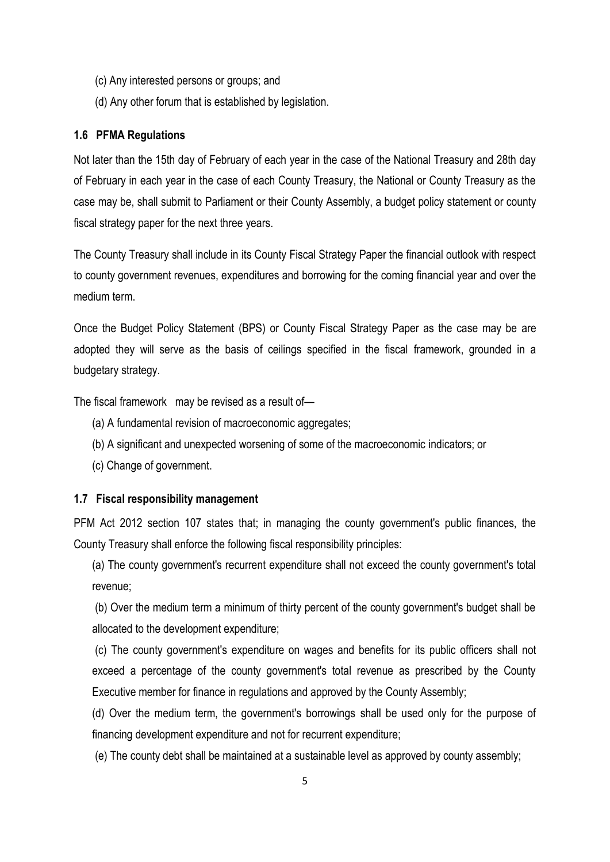- (c) Any interested persons or groups; and
- (d) Any other forum that is established by legislation.

#### <span id="page-11-0"></span>**1.6 PFMA Regulations**

Not later than the 15th day of February of each year in the case of the National Treasury and 28th day of February in each year in the case of each County Treasury, the National or County Treasury as the case may be, shall submit to Parliament or their County Assembly, a budget policy statement or county fiscal strategy paper for the next three years.

The County Treasury shall include in its County Fiscal Strategy Paper the financial outlook with respect to county government revenues, expenditures and borrowing for the coming financial year and over the medium term.

Once the Budget Policy Statement (BPS) or County Fiscal Strategy Paper as the case may be are adopted they will serve as the basis of ceilings specified in the fiscal framework, grounded in a budgetary strategy.

The fiscal framework may be revised as a result of—

- (a) A fundamental revision of macroeconomic aggregates;
- (b) A significant and unexpected worsening of some of the macroeconomic indicators; or
- (c) Change of government.

#### <span id="page-11-1"></span>**1.7 Fiscal responsibility management**

PFM Act 2012 section 107 states that; in managing the county government's public finances, the County Treasury shall enforce the following fiscal responsibility principles:

(a) The county government's recurrent expenditure shall not exceed the county government's total revenue;

(b) Over the medium term a minimum of thirty percent of the county government's budget shall be allocated to the development expenditure;

(c) The county government's expenditure on wages and benefits for its public officers shall not exceed a percentage of the county government's total revenue as prescribed by the County Executive member for finance in regulations and approved by the County Assembly;

(d) Over the medium term, the government's borrowings shall be used only for the purpose of financing development expenditure and not for recurrent expenditure;

(e) The county debt shall be maintained at a sustainable level as approved by county assembly;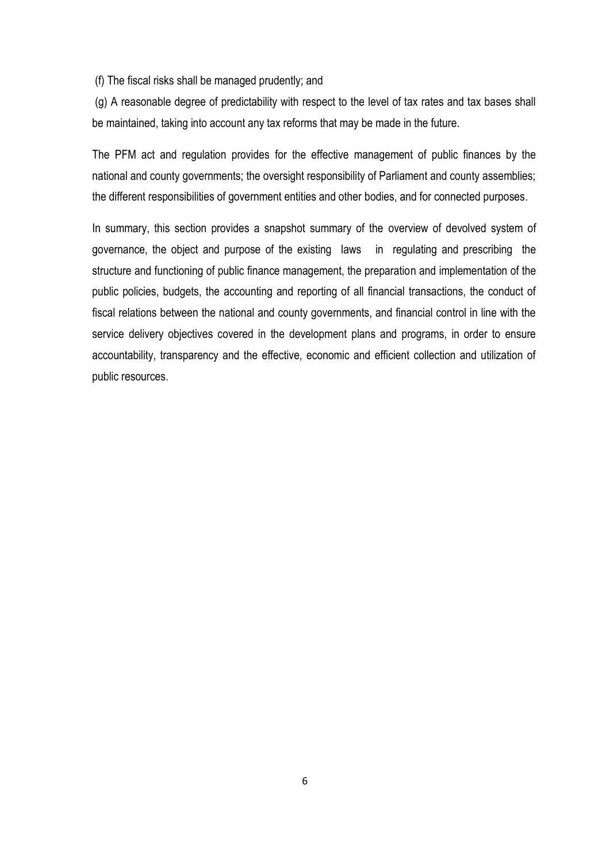(f) The fiscal risks shall be managed prudently; and

(g) A reasonable degree of predictability with respect to the level of tax rates and tax bases shall be maintained, taking into account any tax reforms that may be made in the future.

The PFM act and regulation provides for the effective management of public finances by the national and county governments; the oversight responsibility of Parliament and county assemblies; the different responsibilities of government entities and other bodies, and for connected purposes.

In summary, this section provides a snapshot summary of the overview of devolved system of governance, the object and purpose of the existing laws in regulating and prescribing the structure and functioning of public finance management, the preparation and implementation of the public policies, budgets, the accounting and reporting of all financial transactions, the conduct of fiscal relations between the national and county governments, and financial control in line with the service delivery objectives covered in the development plans and programs, in order to ensure accountability, transparency and the effective, economic and efficient collection and utilization of public resources.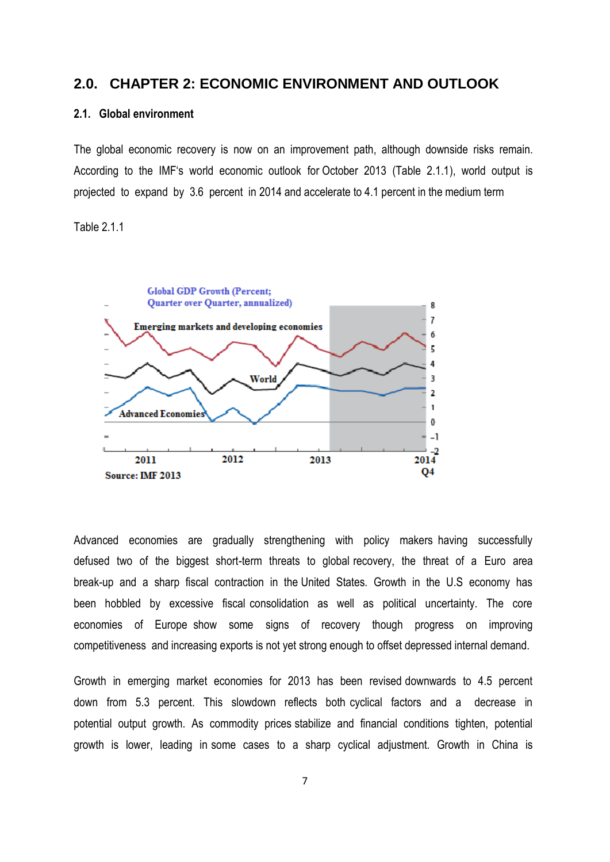#### <span id="page-13-0"></span>**2.0. CHAPTER 2: ECONOMIC ENVIRONMENT AND OUTLOOK**

#### <span id="page-13-1"></span>**2.1. Global environment**

The global economic recovery is now on an improvement path, although downside risks remain. According to the IMF's world economic outlook for October 2013 (Table 2.1.1), world output is projected to expand by 3.6 percent in 2014 and accelerate to 4.1 percent in the medium term

Table 2.1.1



Advanced economies are gradually strengthening with policy makers having successfully defused two of the biggest short-term threats to global recovery, the threat of a Euro area break-up and a sharp fiscal contraction in the United States. Growth in the U.S economy has been hobbled by excessive fiscal consolidation as well as political uncertainty. The core economies of Europe show some signs of recovery though progress on improving competitiveness and increasing exports is not yet strong enough to offset depressed internal demand.

Growth in emerging market economies for 2013 has been revised downwards to 4.5 percent down from 5.3 percent. This slowdown reflects both cyclical factors and a decrease in potential output growth. As commodity prices stabilize and financial conditions tighten, potential growth is lower, leading in some cases to a sharp cyclical adjustment. Growth in China is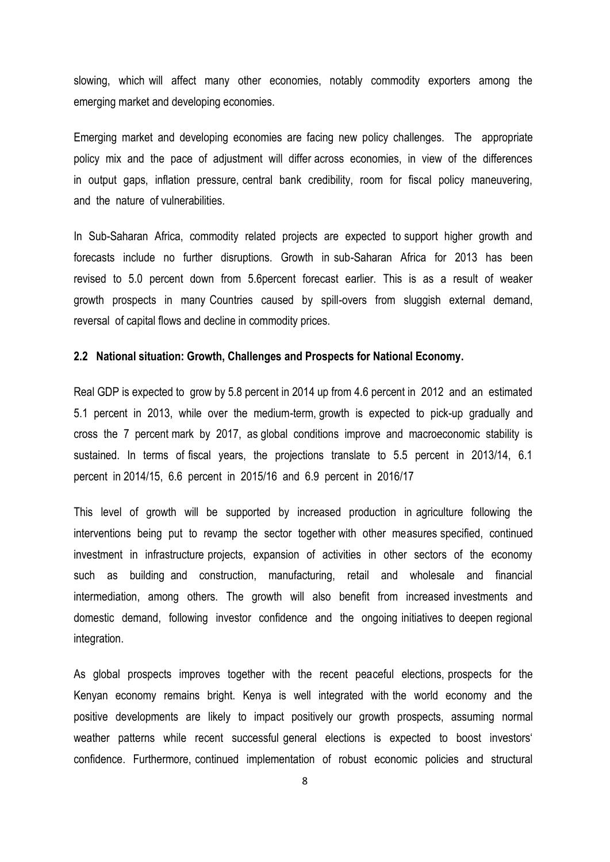slowing, which will affect many other economies, notably commodity exporters among the emerging market and developing economies.

Emerging market and developing economies are facing new policy challenges. The appropriate policy mix and the pace of adjustment will differ across economies, in view of the differences in output gaps, inflation pressure, central bank credibility, room for fiscal policy maneuvering, and the nature of vulnerabilities.

In Sub-Saharan Africa, commodity related projects are expected to support higher growth and forecasts include no further disruptions. Growth in sub-Saharan Africa for 2013 has been revised to 5.0 percent down from 5.6percent forecast earlier. This is as a result of weaker growth prospects in many Countries caused by spill-overs from sluggish external demand, reversal of capital flows and decline in commodity prices.

#### <span id="page-14-0"></span>**2.2 National situation: Growth, Challenges and Prospects for National Economy.**

Real GDP is expected to grow by 5.8 percent in 2014 up from 4.6 percent in 2012 and an estimated 5.1 percent in 2013, while over the medium-term, growth is expected to pick-up gradually and cross the 7 percent mark by 2017, as global conditions improve and macroeconomic stability is sustained. In terms of fiscal years, the projections translate to 5.5 percent in 2013/14, 6.1 percent in 2014/15, 6.6 percent in 2015/16 and 6.9 percent in 2016/17

This level of growth will be supported by increased production in agriculture following the interventions being put to revamp the sector together with other measures specified, continued investment in infrastructure projects, expansion of activities in other sectors of the economy such as building and construction, manufacturing, retail and wholesale and financial intermediation, among others. The growth will also benefit from increased investments and domestic demand, following investor confidence and the ongoing initiatives to deepen regional integration.

As global prospects improves together with the recent peaceful elections, prospects for the Kenyan economy remains bright. Kenya is well integrated with the world economy and the positive developments are likely to impact positively our growth prospects, assuming normal weather patterns while recent successful general elections is expected to boost investors' confidence. Furthermore, continued implementation of robust economic policies and structural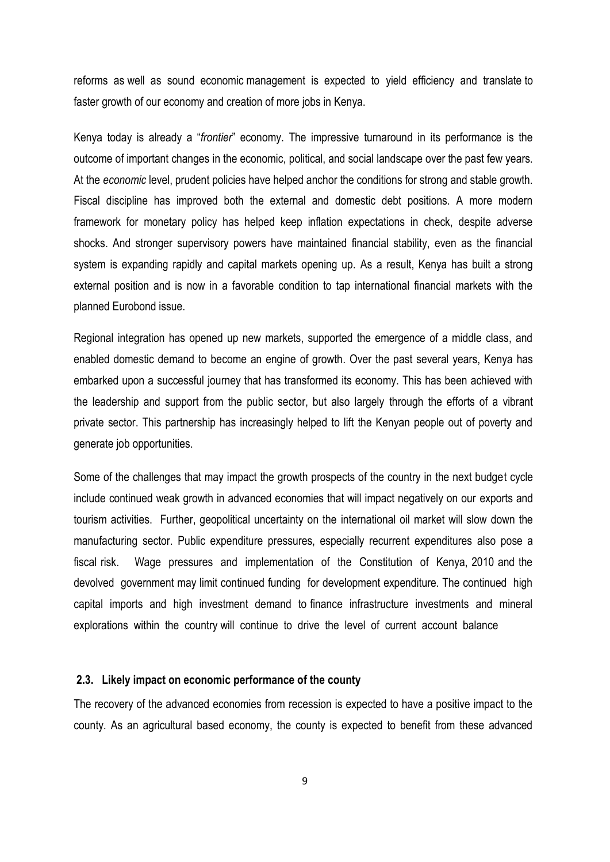reforms as well as sound economic management is expected to yield efficiency and translate to faster growth of our economy and creation of more jobs in Kenya.

Kenya today is already a "*frontier*" economy. The impressive turnaround in its performance is the outcome of important changes in the economic, political, and social landscape over the past few years. At the *economic* level, prudent policies have helped anchor the conditions for strong and stable growth. Fiscal discipline has improved both the external and domestic debt positions. A more modern framework for monetary policy has helped keep inflation expectations in check, despite adverse shocks. And stronger supervisory powers have maintained financial stability, even as the financial system is expanding rapidly and capital markets opening up. As a result, Kenya has built a strong external position and is now in a favorable condition to tap international financial markets with the planned Eurobond issue.

Regional integration has opened up new markets, supported the emergence of a middle class, and enabled domestic demand to become an engine of growth. Over the past several years, Kenya has embarked upon a successful journey that has transformed its economy. This has been achieved with the leadership and support from the public sector, but also largely through the efforts of a vibrant private sector. This partnership has increasingly helped to lift the Kenyan people out of poverty and generate job opportunities.

Some of the challenges that may impact the growth prospects of the country in the next budget cycle include continued weak growth in advanced economies that will impact negatively on our exports and tourism activities. Further, geopolitical uncertainty on the international oil market will slow down the manufacturing sector. Public expenditure pressures, especially recurrent expenditures also pose a fiscal risk. Wage pressures and implementation of the Constitution of Kenya, 2010 and the devolved government may limit continued funding for development expenditure. The continued high capital imports and high investment demand to finance infrastructure investments and mineral explorations within the country will continue to drive the level of current account balance

#### <span id="page-15-0"></span>**2.3. Likely impact on economic performance of the county**

The recovery of the advanced economies from recession is expected to have a positive impact to the county. As an agricultural based economy, the county is expected to benefit from these advanced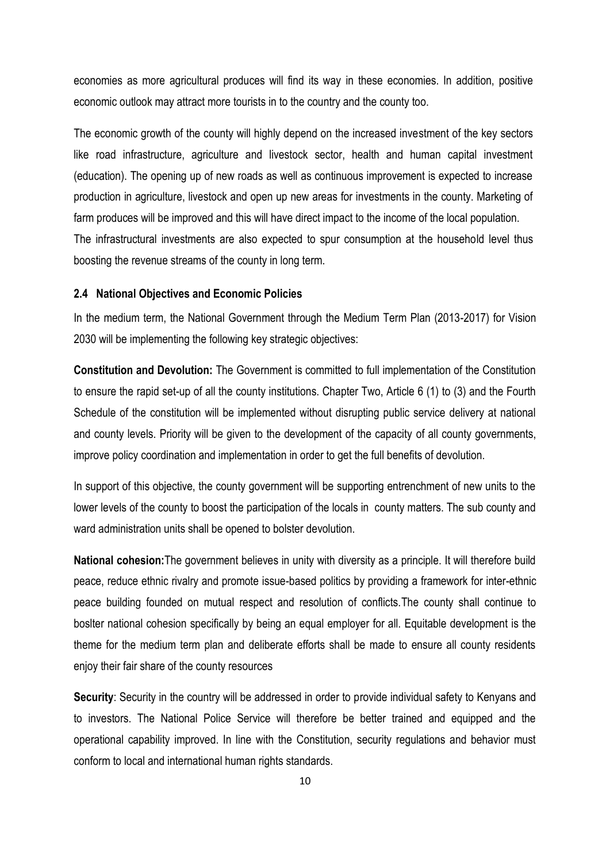economies as more agricultural produces will find its way in these economies. In addition, positive economic outlook may attract more tourists in to the country and the county too.

The economic growth of the county will highly depend on the increased investment of the key sectors like road infrastructure, agriculture and livestock sector, health and human capital investment (education). The opening up of new roads as well as continuous improvement is expected to increase production in agriculture, livestock and open up new areas for investments in the county. Marketing of farm produces will be improved and this will have direct impact to the income of the local population. The infrastructural investments are also expected to spur consumption at the household level thus boosting the revenue streams of the county in long term.

#### <span id="page-16-0"></span>**2.4 National Objectives and Economic Policies**

In the medium term, the National Government through the Medium Term Plan (2013-2017) for Vision 2030 will be implementing the following key strategic objectives:

**Constitution and Devolution:** The Government is committed to full implementation of the Constitution to ensure the rapid set-up of all the county institutions. Chapter Two, Article 6 (1) to (3) and the Fourth Schedule of the constitution will be implemented without disrupting public service delivery at national and county levels. Priority will be given to the development of the capacity of all county governments, improve policy coordination and implementation in order to get the full benefits of devolution.

In support of this objective, the county government will be supporting entrenchment of new units to the lower levels of the county to boost the participation of the locals in county matters. The sub county and ward administration units shall be opened to bolster devolution.

**National cohesion:**The government believes in unity with diversity as a principle. It will therefore build peace, reduce ethnic rivalry and promote issue-based politics by providing a framework for inter-ethnic peace building founded on mutual respect and resolution of conflicts.The county shall continue to boslter national cohesion specifically by being an equal employer for all. Equitable development is the theme for the medium term plan and deliberate efforts shall be made to ensure all county residents enjoy their fair share of the county resources

**Security**: Security in the country will be addressed in order to provide individual safety to Kenyans and to investors. The National Police Service will therefore be better trained and equipped and the operational capability improved. In line with the Constitution, security regulations and behavior must conform to local and international human rights standards.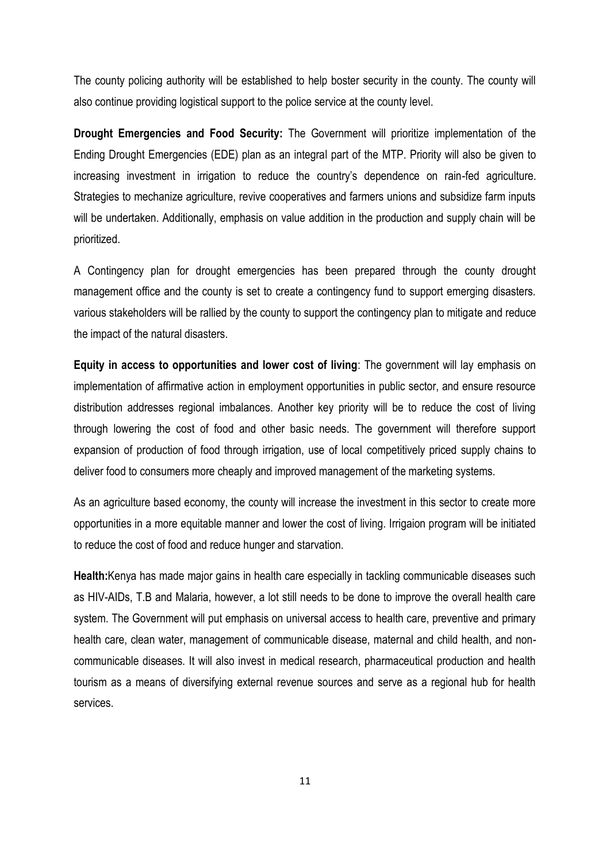The county policing authority will be established to help boster security in the county. The county will also continue providing logistical support to the police service at the county level.

**Drought Emergencies and Food Security:** The Government will prioritize implementation of the Ending Drought Emergencies (EDE) plan as an integral part of the MTP. Priority will also be given to increasing investment in irrigation to reduce the country's dependence on rain-fed agriculture. Strategies to mechanize agriculture, revive cooperatives and farmers unions and subsidize farm inputs will be undertaken. Additionally, emphasis on value addition in the production and supply chain will be prioritized.

A Contingency plan for drought emergencies has been prepared through the county drought management office and the county is set to create a contingency fund to support emerging disasters. various stakeholders will be rallied by the county to support the contingency plan to mitigate and reduce the impact of the natural disasters.

**Equity in access to opportunities and lower cost of living**: The government will lay emphasis on implementation of affirmative action in employment opportunities in public sector, and ensure resource distribution addresses regional imbalances. Another key priority will be to reduce the cost of living through lowering the cost of food and other basic needs. The government will therefore support expansion of production of food through irrigation, use of local competitively priced supply chains to deliver food to consumers more cheaply and improved management of the marketing systems.

As an agriculture based economy, the county will increase the investment in this sector to create more opportunities in a more equitable manner and lower the cost of living. Irrigaion program will be initiated to reduce the cost of food and reduce hunger and starvation.

**Health:**Kenya has made major gains in health care especially in tackling communicable diseases such as HIV-AIDs, T.B and Malaria, however, a lot still needs to be done to improve the overall health care system. The Government will put emphasis on universal access to health care, preventive and primary health care, clean water, management of communicable disease, maternal and child health, and noncommunicable diseases. It will also invest in medical research, pharmaceutical production and health tourism as a means of diversifying external revenue sources and serve as a regional hub for health services.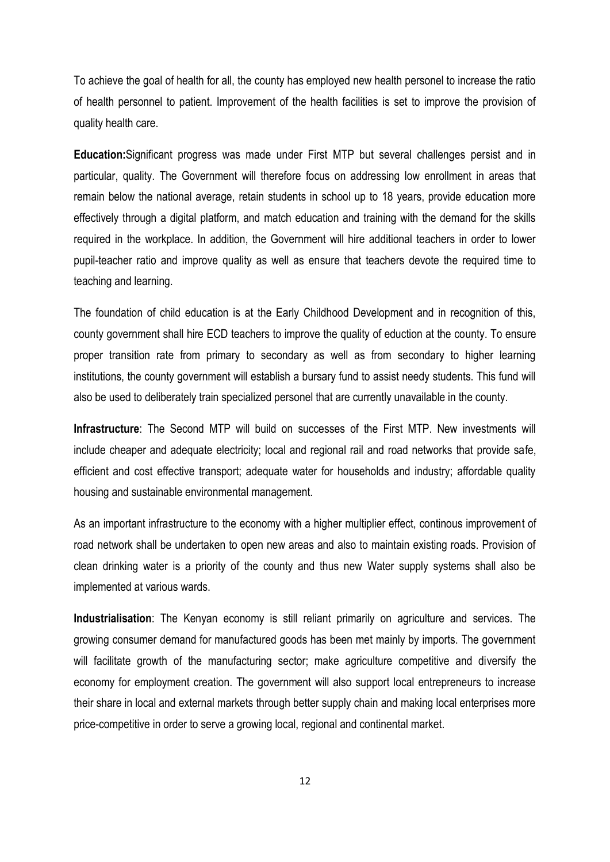To achieve the goal of health for all, the county has employed new health personel to increase the ratio of health personnel to patient. Improvement of the health facilities is set to improve the provision of quality health care.

**Education:**Significant progress was made under First MTP but several challenges persist and in particular, quality. The Government will therefore focus on addressing low enrollment in areas that remain below the national average, retain students in school up to 18 years, provide education more effectively through a digital platform, and match education and training with the demand for the skills required in the workplace. In addition, the Government will hire additional teachers in order to lower pupil-teacher ratio and improve quality as well as ensure that teachers devote the required time to teaching and learning.

The foundation of child education is at the Early Childhood Development and in recognition of this, county government shall hire ECD teachers to improve the quality of eduction at the county. To ensure proper transition rate from primary to secondary as well as from secondary to higher learning institutions, the county government will establish a bursary fund to assist needy students. This fund will also be used to deliberately train specialized personel that are currently unavailable in the county.

**Infrastructure**: The Second MTP will build on successes of the First MTP. New investments will include cheaper and adequate electricity; local and regional rail and road networks that provide safe, efficient and cost effective transport; adequate water for households and industry; affordable quality housing and sustainable environmental management.

As an important infrastructure to the economy with a higher multiplier effect, continous improvement of road network shall be undertaken to open new areas and also to maintain existing roads. Provision of clean drinking water is a priority of the county and thus new Water supply systems shall also be implemented at various wards.

**Industrialisation**: The Kenyan economy is still reliant primarily on agriculture and services. The growing consumer demand for manufactured goods has been met mainly by imports. The government will facilitate growth of the manufacturing sector; make agriculture competitive and diversify the economy for employment creation. The government will also support local entrepreneurs to increase their share in local and external markets through better supply chain and making local enterprises more price-competitive in order to serve a growing local, regional and continental market.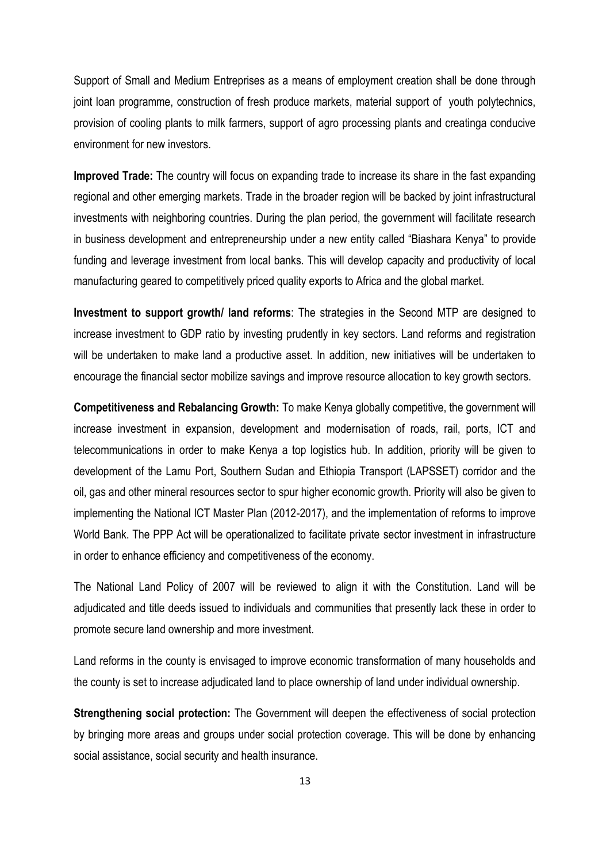Support of Small and Medium Entreprises as a means of employment creation shall be done through joint loan programme, construction of fresh produce markets, material support of youth polytechnics, provision of cooling plants to milk farmers, support of agro processing plants and creatinga conducive environment for new investors.

**Improved Trade:** The country will focus on expanding trade to increase its share in the fast expanding regional and other emerging markets. Trade in the broader region will be backed by joint infrastructural investments with neighboring countries. During the plan period, the government will facilitate research in business development and entrepreneurship under a new entity called "Biashara Kenya" to provide funding and leverage investment from local banks. This will develop capacity and productivity of local manufacturing geared to competitively priced quality exports to Africa and the global market.

**Investment to support growth/ land reforms**: The strategies in the Second MTP are designed to increase investment to GDP ratio by investing prudently in key sectors. Land reforms and registration will be undertaken to make land a productive asset. In addition, new initiatives will be undertaken to encourage the financial sector mobilize savings and improve resource allocation to key growth sectors.

**Competitiveness and Rebalancing Growth:** To make Kenya globally competitive, the government will increase investment in expansion, development and modernisation of roads, rail, ports, ICT and telecommunications in order to make Kenya a top logistics hub. In addition, priority will be given to development of the Lamu Port, Southern Sudan and Ethiopia Transport (LAPSSET) corridor and the oil, gas and other mineral resources sector to spur higher economic growth. Priority will also be given to implementing the National ICT Master Plan (2012-2017), and the implementation of reforms to improve World Bank. The PPP Act will be operationalized to facilitate private sector investment in infrastructure in order to enhance efficiency and competitiveness of the economy.

The National Land Policy of 2007 will be reviewed to align it with the Constitution. Land will be adjudicated and title deeds issued to individuals and communities that presently lack these in order to promote secure land ownership and more investment.

Land reforms in the county is envisaged to improve economic transformation of many households and the county is set to increase adjudicated land to place ownership of land under individual ownership.

**Strengthening social protection:** The Government will deepen the effectiveness of social protection by bringing more areas and groups under social protection coverage. This will be done by enhancing social assistance, social security and health insurance.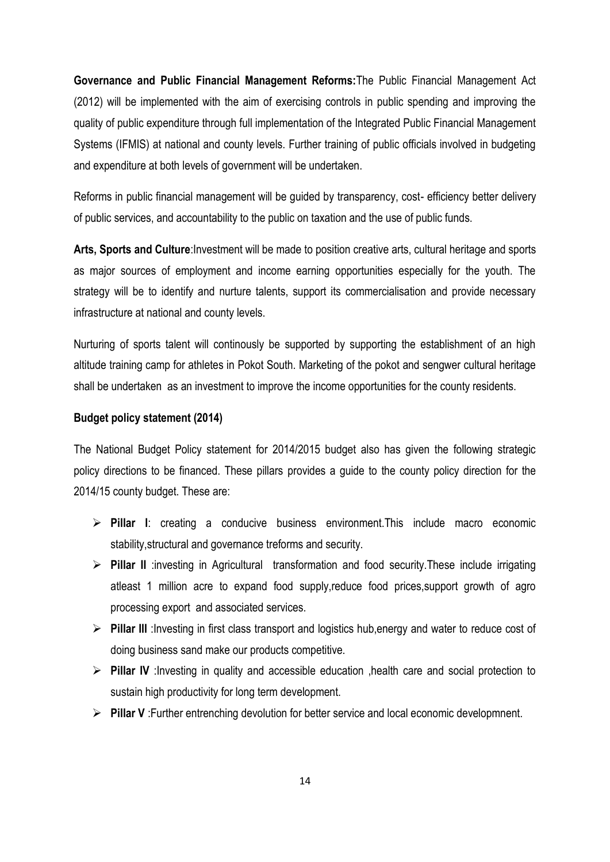**Governance and Public Financial Management Reforms:**The Public Financial Management Act (2012) will be implemented with the aim of exercising controls in public spending and improving the quality of public expenditure through full implementation of the Integrated Public Financial Management Systems (IFMIS) at national and county levels. Further training of public officials involved in budgeting and expenditure at both levels of government will be undertaken.

Reforms in public financial management will be guided by transparency, cost- efficiency better delivery of public services, and accountability to the public on taxation and the use of public funds.

**Arts, Sports and Culture**:Investment will be made to position creative arts, cultural heritage and sports as major sources of employment and income earning opportunities especially for the youth. The strategy will be to identify and nurture talents, support its commercialisation and provide necessary infrastructure at national and county levels.

Nurturing of sports talent will continously be supported by supporting the establishment of an high altitude training camp for athletes in Pokot South. Marketing of the pokot and sengwer cultural heritage shall be undertaken as an investment to improve the income opportunities for the county residents.

#### **Budget policy statement (2014)**

The National Budget Policy statement for 2014/2015 budget also has given the following strategic policy directions to be financed. These pillars provides a guide to the county policy direction for the 2014/15 county budget. These are:

- **Pillar I**: creating a conducive business environment.This include macro economic stability,structural and governance treforms and security.
- **Pillar II** :investing in Agricultural transformation and food security.These include irrigating atleast 1 million acre to expand food supply,reduce food prices,support growth of agro processing export and associated services.
- **Pillar III** :Investing in first class transport and logistics hub,energy and water to reduce cost of doing business sand make our products competitive.
- **Pillar IV** :Investing in quality and accessible education ,health care and social protection to sustain high productivity for long term development.
- **Pillar V** :Further entrenching devolution for better service and local economic developmnent.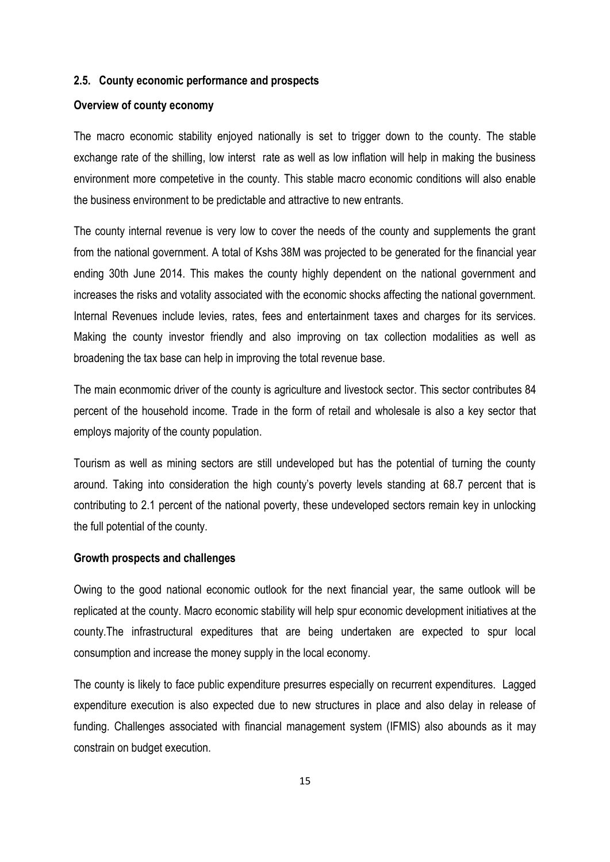#### <span id="page-21-0"></span>**2.5. County economic performance and prospects**

#### **Overview of county economy**

The macro economic stability enjoyed nationally is set to trigger down to the county. The stable exchange rate of the shilling, low interst rate as well as low inflation will help in making the business environment more competetive in the county. This stable macro economic conditions will also enable the business environment to be predictable and attractive to new entrants.

The county internal revenue is very low to cover the needs of the county and supplements the grant from the national government. A total of Kshs 38M was projected to be generated for the financial year ending 30th June 2014. This makes the county highly dependent on the national government and increases the risks and votality associated with the economic shocks affecting the national government. Internal Revenues include levies, rates, fees and entertainment taxes and charges for its services. Making the county investor friendly and also improving on tax collection modalities as well as broadening the tax base can help in improving the total revenue base.

The main econmomic driver of the county is agriculture and livestock sector. This sector contributes 84 percent of the household income. Trade in the form of retail and wholesale is also a key sector that employs majority of the county population.

Tourism as well as mining sectors are still undeveloped but has the potential of turning the county around. Taking into consideration the high county's poverty levels standing at 68.7 percent that is contributing to 2.1 percent of the national poverty, these undeveloped sectors remain key in unlocking the full potential of the county.

#### **Growth prospects and challenges**

Owing to the good national economic outlook for the next financial year, the same outlook will be replicated at the county. Macro economic stability will help spur economic development initiatives at the county.The infrastructural expeditures that are being undertaken are expected to spur local consumption and increase the money supply in the local economy.

The county is likely to face public expenditure presurres especially on recurrent expenditures. Lagged expenditure execution is also expected due to new structures in place and also delay in release of funding. Challenges associated with financial management system (IFMIS) also abounds as it may constrain on budget execution.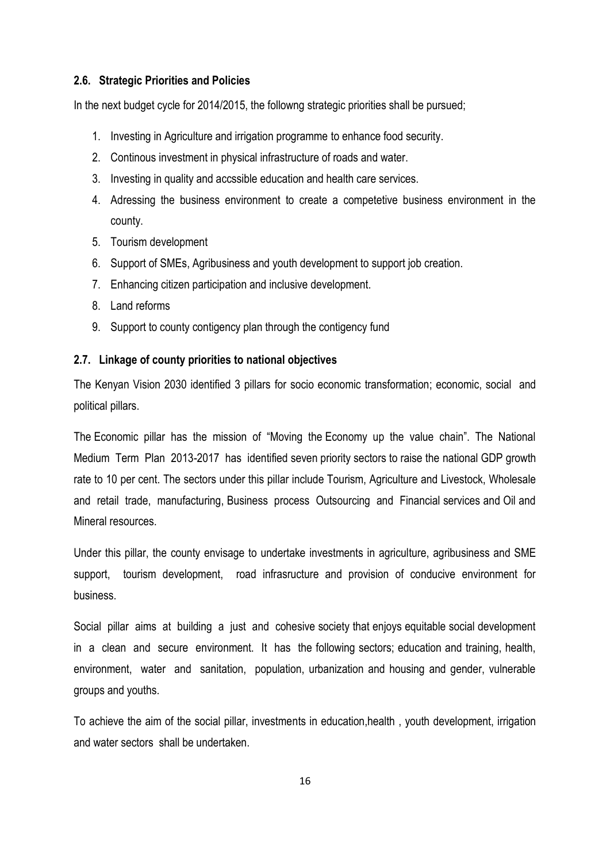#### <span id="page-22-0"></span>**2.6. Strategic Priorities and Policies**

In the next budget cycle for 2014/2015, the followng strategic priorities shall be pursued;

- 1. Investing in Agriculture and irrigation programme to enhance food security.
- 2. Continous investment in physical infrastructure of roads and water.
- 3. Investing in quality and accssible education and health care services.
- 4. Adressing the business environment to create a competetive business environment in the county.
- 5. Tourism development
- 6. Support of SMEs, Agribusiness and youth development to support job creation.
- 7. Enhancing citizen participation and inclusive development.
- 8. Land reforms
- 9. Support to county contigency plan through the contigency fund

#### <span id="page-22-1"></span>**2.7. Linkage of county priorities to national objectives**

The Kenyan Vision 2030 identified 3 pillars for socio economic transformation; economic, social and political pillars.

The Economic pillar has the mission of "Moving the Economy up the value chain". The National Medium Term Plan 2013-2017 has identified seven priority sectors to raise the national GDP growth rate to 10 per cent. The sectors under this pillar include Tourism, Agriculture and Livestock, Wholesale and retail trade, manufacturing, Business process Outsourcing and Financial services and Oil and Mineral resources.

Under this pillar, the county envisage to undertake investments in agriculture, agribusiness and SME support, tourism development, road infrasructure and provision of conducive environment for business.

Social pillar aims at building a just and cohesive society that enjoys equitable social development in a clean and secure environment. It has the following sectors; education and training, health, environment, water and sanitation, population, urbanization and housing and gender, vulnerable groups and youths.

To achieve the aim of the social pillar, investments in education,health , youth development, irrigation and water sectors shall be undertaken.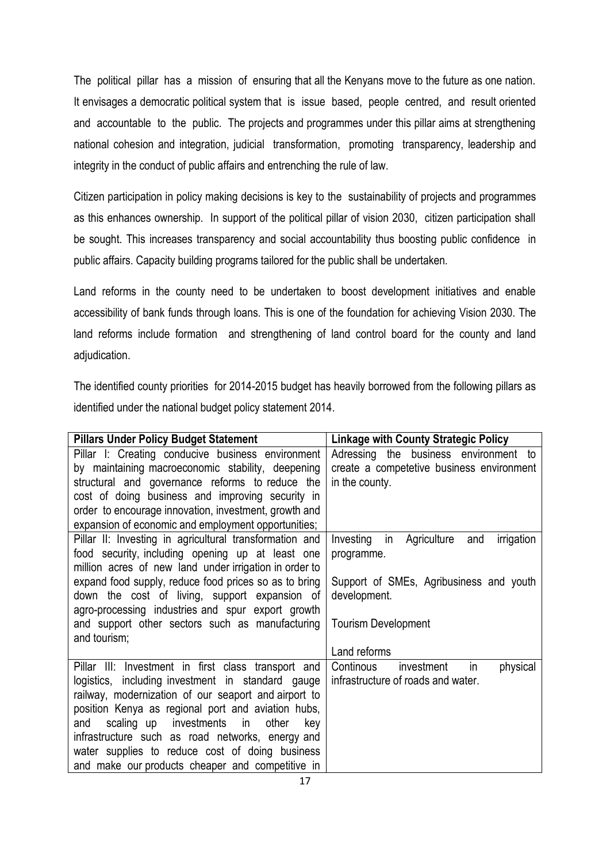The political pillar has a mission of ensuring that all the Kenyans move to the future as one nation. It envisages a democratic political system that is issue based, people centred, and result oriented and accountable to the public. The projects and programmes under this pillar aims at strengthening national cohesion and integration, judicial transformation, promoting transparency, leadership and integrity in the conduct of public affairs and entrenching the rule of law.

Citizen participation in policy making decisions is key to the sustainability of projects and programmes as this enhances ownership. In support of the political pillar of vision 2030, citizen participation shall be sought. This increases transparency and social accountability thus boosting public confidence in public affairs. Capacity building programs tailored for the public shall be undertaken.

Land reforms in the county need to be undertaken to boost development initiatives and enable accessibility of bank funds through loans. This is one of the foundation for achieving Vision 2030. The land reforms include formation and strengthening of land control board for the county and land adjudication.

The identified county priorities for 2014-2015 budget has heavily borrowed from the following pillars as identified under the national budget policy statement 2014.

| <b>Pillars Under Policy Budget Statement</b>            | <b>Linkage with County Strategic Policy</b>      |
|---------------------------------------------------------|--------------------------------------------------|
| Pillar I: Creating conducive business environment       | Adressing the business environment to            |
| by maintaining macroeconomic stability, deepening       | create a competetive business environment        |
| structural and governance reforms to reduce the         | in the county.                                   |
| cost of doing business and improving security in        |                                                  |
| order to encourage innovation, investment, growth and   |                                                  |
| expansion of economic and employment opportunities;     |                                                  |
| Pillar II: Investing in agricultural transformation and | in Agriculture<br>irrigation<br>Investing<br>and |
| food security, including opening up at least one        | programme.                                       |
| million acres of new land under irrigation in order to  |                                                  |
| expand food supply, reduce food prices so as to bring   | Support of SMEs, Agribusiness and youth          |
| down the cost of living, support expansion of           | development.                                     |
| agro-processing industries and spur export growth       |                                                  |
| and support other sectors such as manufacturing         | <b>Tourism Development</b>                       |
| and tourism;                                            |                                                  |
|                                                         | Land reforms                                     |
| Pillar III: Investment in first class transport and     | in<br>physical<br>Continous<br>investment        |
| logistics, including investment in standard gauge       | infrastructure of roads and water.               |
| railway, modernization of our seaport and airport to    |                                                  |
| position Kenya as regional port and aviation hubs,      |                                                  |
| investments in<br>scaling up<br>and<br>other<br>key     |                                                  |
| infrastructure such as road networks, energy and        |                                                  |
| water supplies to reduce cost of doing business         |                                                  |
| and make our products cheaper and competitive in        |                                                  |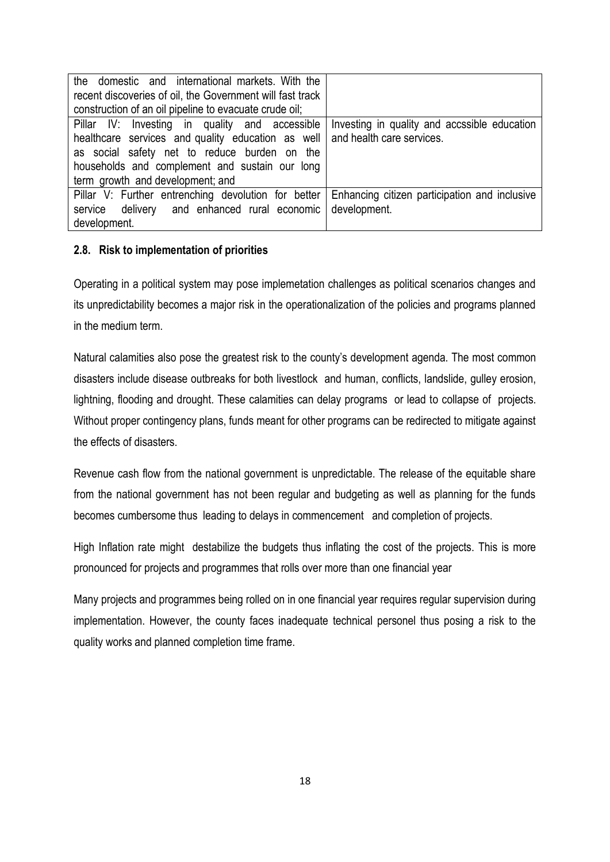| the domestic and international markets. With the          |                                               |  |  |  |  |  |
|-----------------------------------------------------------|-----------------------------------------------|--|--|--|--|--|
| recent discoveries of oil, the Government will fast track |                                               |  |  |  |  |  |
| construction of an oil pipeline to evacuate crude oil;    |                                               |  |  |  |  |  |
| Pillar IV: Investing in quality and accessible            | Investing in quality and accssible education  |  |  |  |  |  |
| healthcare services and quality education as well         | and health care services.                     |  |  |  |  |  |
| as social safety net to reduce burden on the              |                                               |  |  |  |  |  |
| households and complement and sustain our long            |                                               |  |  |  |  |  |
| term growth and development; and                          |                                               |  |  |  |  |  |
| Pillar V: Further entrenching devolution for better       | Enhancing citizen participation and inclusive |  |  |  |  |  |
| service delivery and enhanced rural economic              | development.                                  |  |  |  |  |  |
| development.                                              |                                               |  |  |  |  |  |

### <span id="page-24-0"></span>**2.8. Risk to implementation of priorities**

Operating in a political system may pose implemetation challenges as political scenarios changes and its unpredictability becomes a major risk in the operationalization of the policies and programs planned in the medium term.

Natural calamities also pose the greatest risk to the county's development agenda. The most common disasters include disease outbreaks for both livestlock and human, conflicts, landslide, gulley erosion, lightning, flooding and drought. These calamities can delay programs or lead to collapse of projects. Without proper contingency plans, funds meant for other programs can be redirected to mitigate against the effects of disasters.

Revenue cash flow from the national government is unpredictable. The release of the equitable share from the national government has not been regular and budgeting as well as planning for the funds becomes cumbersome thus leading to delays in commencement and completion of projects.

High Inflation rate might destabilize the budgets thus inflating the cost of the projects. This is more pronounced for projects and programmes that rolls over more than one financial year

Many projects and programmes being rolled on in one financial year requires regular supervision during implementation. However, the county faces inadequate technical personel thus posing a risk to the quality works and planned completion time frame.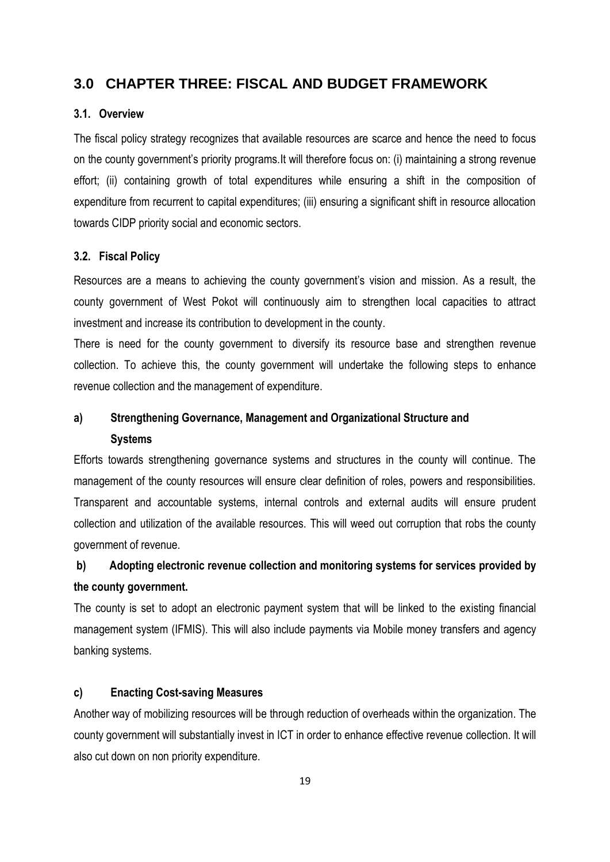### <span id="page-25-0"></span>**3.0 CHAPTER THREE: FISCAL AND BUDGET FRAMEWORK**

#### <span id="page-25-1"></span>**3.1. Overview**

The fiscal policy strategy recognizes that available resources are scarce and hence the need to focus on the county government's priority programs.It will therefore focus on: (i) maintaining a strong revenue effort; (ii) containing growth of total expenditures while ensuring a shift in the composition of expenditure from recurrent to capital expenditures; (iii) ensuring a significant shift in resource allocation towards CIDP priority social and economic sectors.

#### <span id="page-25-2"></span>**3.2. Fiscal Policy**

Resources are a means to achieving the county government's vision and mission. As a result, the county government of West Pokot will continuously aim to strengthen local capacities to attract investment and increase its contribution to development in the county.

There is need for the county government to diversify its resource base and strengthen revenue collection. To achieve this, the county government will undertake the following steps to enhance revenue collection and the management of expenditure.

## **a) Strengthening Governance, Management and Organizational Structure and Systems**

Efforts towards strengthening governance systems and structures in the county will continue. The management of the county resources will ensure clear definition of roles, powers and responsibilities. Transparent and accountable systems, internal controls and external audits will ensure prudent collection and utilization of the available resources. This will weed out corruption that robs the county government of revenue.

## **b) Adopting electronic revenue collection and monitoring systems for services provided by the county government.**

The county is set to adopt an electronic payment system that will be linked to the existing financial management system (IFMIS). This will also include payments via Mobile money transfers and agency banking systems.

#### **c) Enacting Cost-saving Measures**

Another way of mobilizing resources will be through reduction of overheads within the organization. The county government will substantially invest in ICT in order to enhance effective revenue collection. It will also cut down on non priority expenditure.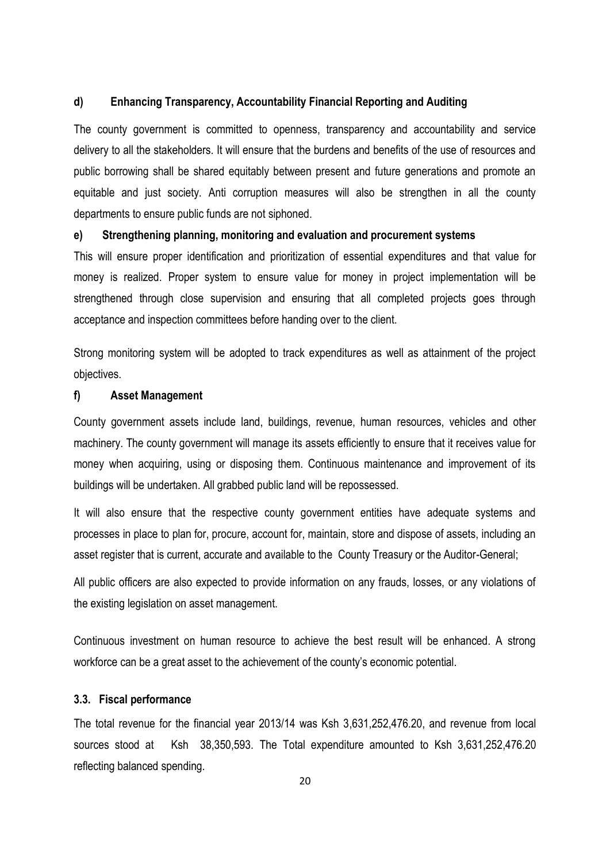#### **d) Enhancing Transparency, Accountability Financial Reporting and Auditing**

The county government is committed to openness, transparency and accountability and service delivery to all the stakeholders. It will ensure that the burdens and benefits of the use of resources and public borrowing shall be shared equitably between present and future generations and promote an equitable and just society. Anti corruption measures will also be strengthen in all the county departments to ensure public funds are not siphoned.

#### **e) Strengthening planning, monitoring and evaluation and procurement systems**

This will ensure proper identification and prioritization of essential expenditures and that value for money is realized. Proper system to ensure value for money in project implementation will be strengthened through close supervision and ensuring that all completed projects goes through acceptance and inspection committees before handing over to the client.

Strong monitoring system will be adopted to track expenditures as well as attainment of the project objectives.

#### **f) Asset Management**

County government assets include land, buildings, revenue, human resources, vehicles and other machinery. The county government will manage its assets efficiently to ensure that it receives value for money when acquiring, using or disposing them. Continuous maintenance and improvement of its buildings will be undertaken. All grabbed public land will be repossessed.

It will also ensure that the respective county government entities have adequate systems and processes in place to plan for, procure, account for, maintain, store and dispose of assets, including an asset register that is current, accurate and available to the County Treasury or the Auditor-General;

All public officers are also expected to provide information on any frauds, losses, or any violations of the existing legislation on asset management.

Continuous investment on human resource to achieve the best result will be enhanced. A strong workforce can be a great asset to the achievement of the county's economic potential.

#### <span id="page-26-0"></span>**3.3. Fiscal performance**

The total revenue for the financial year 2013/14 was Ksh 3,631,252,476.20, and revenue from local sources stood at Ksh 38,350,593. The Total expenditure amounted to Ksh 3,631,252,476.20 reflecting balanced spending.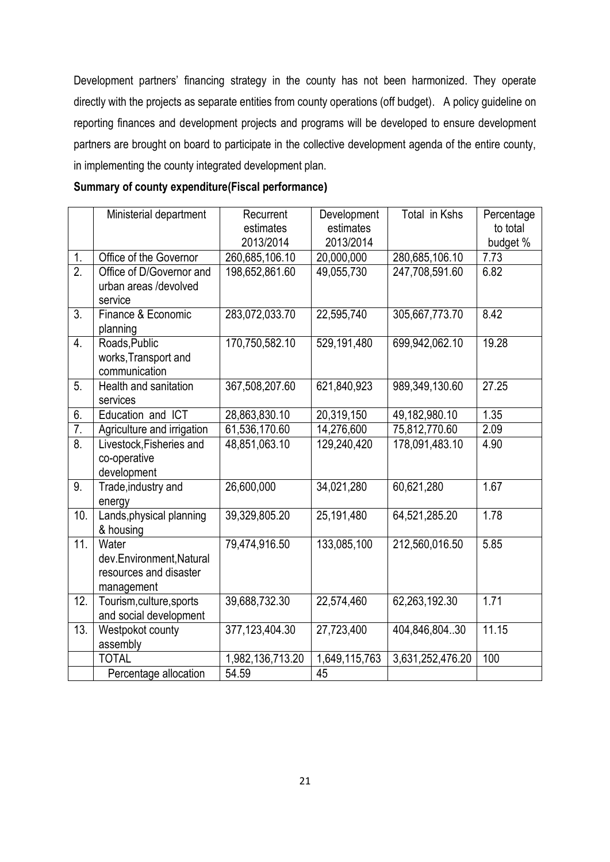Development partners' financing strategy in the county has not been harmonized. They operate directly with the projects as separate entities from county operations (off budget). A policy guideline on reporting finances and development projects and programs will be developed to ensure development partners are brought on board to participate in the collective development agenda of the entire county, in implementing the county integrated development plan.

### **Summary of county expenditure(Fiscal performance)**

|                   | Ministerial department                                                    | Recurrent<br>estimates<br>2013/2014 | Development<br>estimates<br>2013/2014 | Total in Kshs    | Percentage<br>to total<br>budget % |
|-------------------|---------------------------------------------------------------------------|-------------------------------------|---------------------------------------|------------------|------------------------------------|
| 1.                | Office of the Governor                                                    | 260,685,106.10                      | 20,000,000                            | 280,685,106.10   | 7.73                               |
| $\overline{2}$ .  | Office of D/Governor and<br>urban areas /devolved<br>service              | 198,652,861.60                      | 49,055,730                            | 247,708,591.60   | 6.82                               |
| $\overline{3}$    | Finance & Economic<br>planning                                            | 283,072,033.70                      | 22,595,740                            | 305,667,773.70   | 8.42                               |
| 4.                | Roads, Public<br>works, Transport and<br>communication                    | 170,750,582.10                      | 529,191,480                           | 699,942,062.10   | 19.28                              |
| 5.                | Health and sanitation<br>services                                         | 367,508,207.60                      | 621,840,923                           | 989,349,130.60   | 27.25                              |
| 6.                | Education and ICT                                                         | 28,863,830.10                       | 20,319,150                            | 49,182,980.10    | 1.35                               |
| 7.                | Agriculture and irrigation                                                | 61,536,170.60                       | 14,276,600                            | 75,812,770.60    | 2.09                               |
| $\overline{8}$ .  | Livestock, Fisheries and<br>co-operative<br>development                   | 48,851,063.10                       | 129,240,420                           | 178,091,483.10   | 4.90                               |
| 9.                | Trade, industry and<br>energy                                             | 26,600,000                          | 34,021,280                            | 60,621,280       | 1.67                               |
| 10.               | Lands, physical planning<br>& housing                                     | 39,329,805.20                       | 25,191,480                            | 64,521,285.20    | 1.78                               |
| 11.               | Water<br>dev.Environment, Natural<br>resources and disaster<br>management | 79,474,916.50                       | 133,085,100                           | 212,560,016.50   | 5.85                               |
| 12.               | Tourism, culture, sports<br>and social development                        | 39,688,732.30                       | 22,574,460                            | 62,263,192.30    | 1.71                               |
| $\overline{13}$ . | Westpokot county<br>assembly                                              | 377, 123, 404. 30                   | 27,723,400                            | 404,846,804.30   | 11.15                              |
|                   | <b>TOTAL</b>                                                              | 1,982,136,713.20                    | 1,649,115,763                         | 3,631,252,476.20 | 100                                |
|                   | Percentage allocation                                                     | 54.59                               | 45                                    |                  |                                    |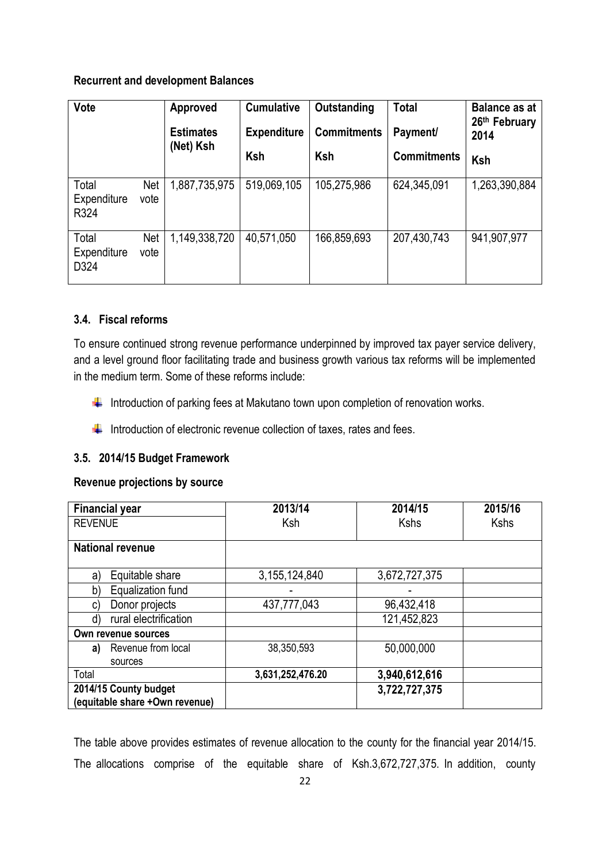### **Recurrent and development Balances**

| <b>Vote</b>                  |                    | Approved         | <b>Cumulative</b>  | Outstanding        | <b>Total</b>       | <b>Balance as at</b><br>26th February |
|------------------------------|--------------------|------------------|--------------------|--------------------|--------------------|---------------------------------------|
|                              |                    | <b>Estimates</b> | <b>Expenditure</b> | <b>Commitments</b> | Payment/           | 2014                                  |
|                              |                    | (Net) Ksh        | Ksh                | Ksh                | <b>Commitments</b> | Ksh                                   |
| Total<br>Expenditure<br>R324 | <b>Net</b><br>vote | 1,887,735,975    | 519,069,105        | 105,275,986        | 624,345,091        | 1,263,390,884                         |
| Total<br>Expenditure<br>D324 | <b>Net</b><br>vote | 1,149,338,720    | 40,571,050         | 166,859,693        | 207,430,743        | 941,907,977                           |

### <span id="page-28-0"></span>**3.4. Fiscal reforms**

To ensure continued strong revenue performance underpinned by improved tax payer service delivery, and a level ground floor facilitating trade and business growth various tax reforms will be implemented in the medium term. Some of these reforms include:

- Introduction of parking fees at Makutano town upon completion of renovation works.
- $\bigstar$  Introduction of electronic revenue collection of taxes, rates and fees.

### <span id="page-28-1"></span>**3.5. 2014/15 Budget Framework**

### **Revenue projections by source**

| <b>Financial year</b>          | 2013/14          | 2014/15       | 2015/16     |
|--------------------------------|------------------|---------------|-------------|
| <b>REVENUE</b>                 | Ksh              | <b>Kshs</b>   | <b>Kshs</b> |
|                                |                  |               |             |
| <b>National revenue</b>        |                  |               |             |
|                                |                  |               |             |
| Equitable share<br>a)          | 3,155,124,840    | 3,672,727,375 |             |
| Equalization fund<br>b)        |                  |               |             |
| Donor projects<br>C)           | 437,777,043      | 96,432,418    |             |
| rural electrification<br>d)    |                  | 121,452,823   |             |
| Own revenue sources            |                  |               |             |
| Revenue from local<br>a)       | 38,350,593       | 50,000,000    |             |
| sources                        |                  |               |             |
| Total                          | 3,631,252,476.20 | 3,940,612,616 |             |
| 2014/15 County budget          |                  | 3,722,727,375 |             |
| (equitable share +Own revenue) |                  |               |             |

The table above provides estimates of revenue allocation to the county for the financial year 2014/15. The allocations comprise of the equitable share of Ksh.3,672,727,375. In addition, county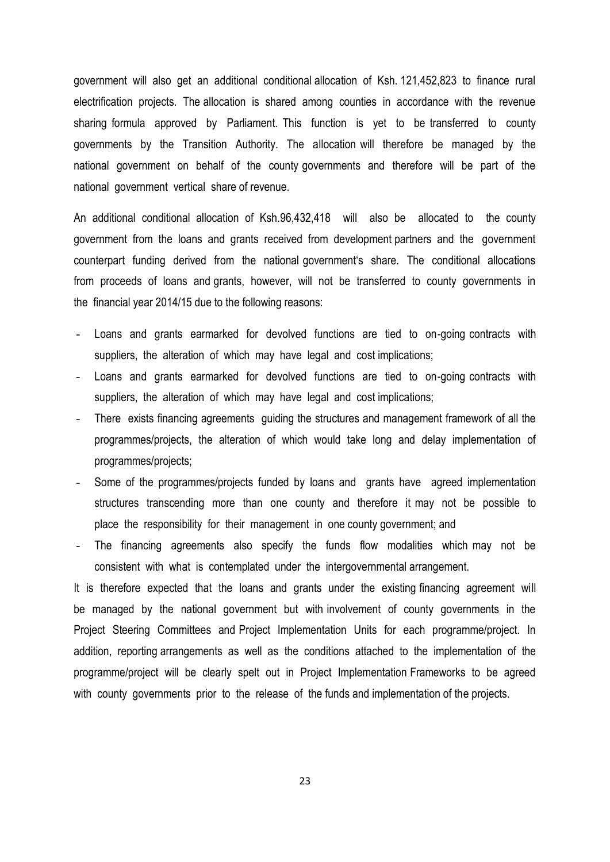government will also get an additional conditional allocation of Ksh. 121,452,823 to finance rural electrification projects. The allocation is shared among counties in accordance with the revenue sharing formula approved by Parliament. This function is yet to be transferred to county governments by the Transition Authority. The allocation will therefore be managed by the national government on behalf of the county governments and therefore will be part of the national government vertical share of revenue.

An additional conditional allocation of Ksh.96,432,418 will also be allocated to the county government from the loans and grants received from development partners and the government counterpart funding derived from the national government's share. The conditional allocations from proceeds of loans and grants, however, will not be transferred to county governments in the financial year 2014/15 due to the following reasons:

- Loans and grants earmarked for devolved functions are tied to on-going contracts with suppliers, the alteration of which may have legal and cost implications;
- Loans and grants earmarked for devolved functions are tied to on-going contracts with suppliers, the alteration of which may have legal and cost implications;
- There exists financing agreements guiding the structures and management framework of all the programmes/projects, the alteration of which would take long and delay implementation of programmes/projects;
- Some of the programmes/projects funded by loans and grants have agreed implementation structures transcending more than one county and therefore it may not be possible to place the responsibility for their management in one county government; and
- The financing agreements also specify the funds flow modalities which may not be consistent with what is contemplated under the intergovernmental arrangement.

It is therefore expected that the loans and grants under the existing financing agreement will be managed by the national government but with involvement of county governments in the Project Steering Committees and Project Implementation Units for each programme/project. In addition, reporting arrangements as well as the conditions attached to the implementation of the programme/project will be clearly spelt out in Project Implementation Frameworks to be agreed with county governments prior to the release of the funds and implementation of the projects.

23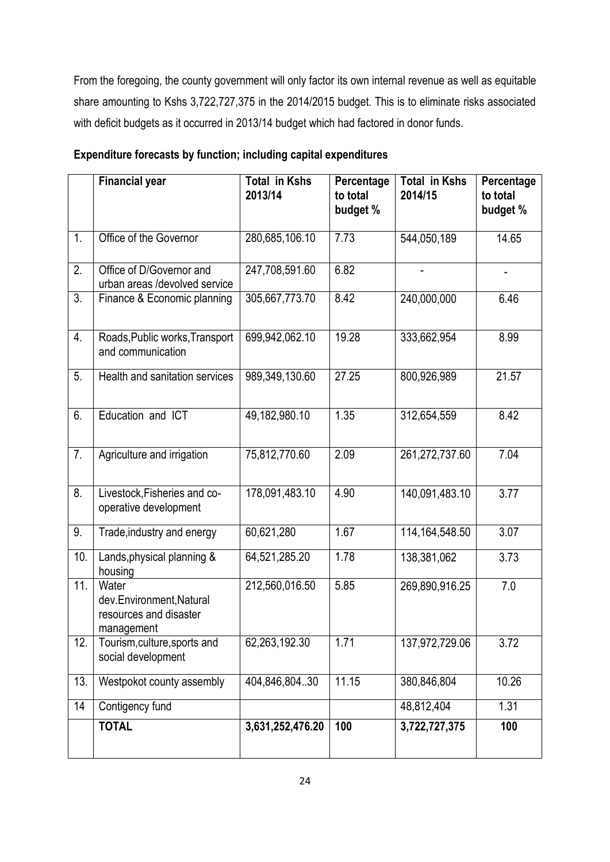From the foregoing, the county government will only factor its own internal revenue as well as equitable share amounting to Kshs 3,722,727,375 in the 2014/2015 budget. This is to eliminate risks associated with deficit budgets as it occurred in 2013/14 budget which had factored in donor funds.

|     | <b>Financial year</b>                                                     | <b>Total in Kshs</b><br>2013/14 | Percentage<br>to total<br>budget % | <b>Total in Kshs</b><br>2014/15 | Percentage<br>to total<br>budget % |
|-----|---------------------------------------------------------------------------|---------------------------------|------------------------------------|---------------------------------|------------------------------------|
| 1.  | Office of the Governor                                                    | 280,685,106.10                  | 7.73                               | 544,050,189                     | 14.65                              |
| 2.  | Office of D/Governor and<br>urban areas /devolved service                 | 247,708,591.60                  | 6.82                               |                                 | $\qquad \qquad \blacksquare$       |
| 3.  | Finance & Economic planning                                               | 305,667,773.70                  | 8.42                               | 240,000,000                     | 6.46                               |
| 4.  | Roads, Public works, Transport<br>and communication                       | 699,942,062.10                  | 19.28                              | 333,662,954                     | 8.99                               |
| 5.  | Health and sanitation services                                            | 989,349,130.60                  | 27.25                              | 800,926,989                     | 21.57                              |
| 6.  | Education and ICT                                                         | 49,182,980.10                   | 1.35                               | 312,654,559                     | 8.42                               |
| 7.  | Agriculture and irrigation                                                | 75,812,770.60                   | 2.09                               | 261,272,737.60                  | 7.04                               |
| 8.  | Livestock, Fisheries and co-<br>operative development                     | 178,091,483.10                  | 4.90                               | 140,091,483.10                  | 3.77                               |
| 9.  | Trade, industry and energy                                                | 60,621,280                      | 1.67                               | 114, 164, 548.50                | 3.07                               |
| 10. | Lands, physical planning &<br>housing                                     | 64,521,285.20                   | 1.78                               | 138,381,062                     | 3.73                               |
| 11. | Water<br>dev.Environment, Natural<br>resources and disaster<br>management | 212,560,016.50                  | 5.85                               | 269,890,916.25                  | 7.0                                |
| 12. | Tourism, culture, sports and<br>social development                        | 62,263,192.30                   | 1.71                               | 137,972,729.06                  | 3.72                               |
| 13. | Westpokot county assembly                                                 | 404,846,804.30                  | 11.15                              | 380,846,804                     | 10.26                              |
| 14  | Contigency fund                                                           |                                 |                                    | 48,812,404                      | 1.31                               |
|     | <b>TOTAL</b>                                                              | 3,631,252,476.20                | 100                                | 3,722,727,375                   | 100                                |

### **Expenditure forecasts by function; including capital expenditures**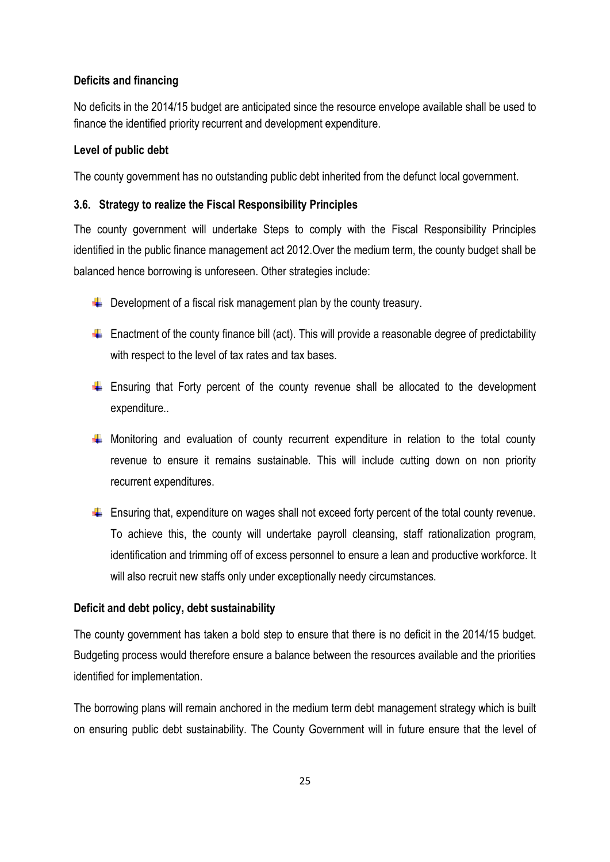### **Deficits and financing**

No deficits in the 2014/15 budget are anticipated since the resource envelope available shall be used to finance the identified priority recurrent and development expenditure.

#### **Level of public debt**

The county government has no outstanding public debt inherited from the defunct local government.

### <span id="page-31-0"></span>**3.6. Strategy to realize the Fiscal Responsibility Principles**

The county government will undertake Steps to comply with the Fiscal Responsibility Principles identified in the public finance management act 2012.Over the medium term, the county budget shall be balanced hence borrowing is unforeseen. Other strategies include:

- $\downarrow$  Development of a fiscal risk management plan by the county treasury.
- $\triangleq$  Enactment of the county finance bill (act). This will provide a reasonable degree of predictability with respect to the level of tax rates and tax bases.
- $\div$  Ensuring that Forty percent of the county revenue shall be allocated to the development expenditure..
- $\downarrow$  Monitoring and evaluation of county recurrent expenditure in relation to the total county revenue to ensure it remains sustainable. This will include cutting down on non priority recurrent expenditures.
- $\ddot{+}$  Ensuring that, expenditure on wages shall not exceed forty percent of the total county revenue. To achieve this, the county will undertake payroll cleansing, staff rationalization program, identification and trimming off of excess personnel to ensure a lean and productive workforce. It will also recruit new staffs only under exceptionally needy circumstances.

### **Deficit and debt policy, debt sustainability**

The county government has taken a bold step to ensure that there is no deficit in the 2014/15 budget. Budgeting process would therefore ensure a balance between the resources available and the priorities identified for implementation.

The borrowing plans will remain anchored in the medium term debt management strategy which is built on ensuring public debt sustainability. The County Government will in future ensure that the level of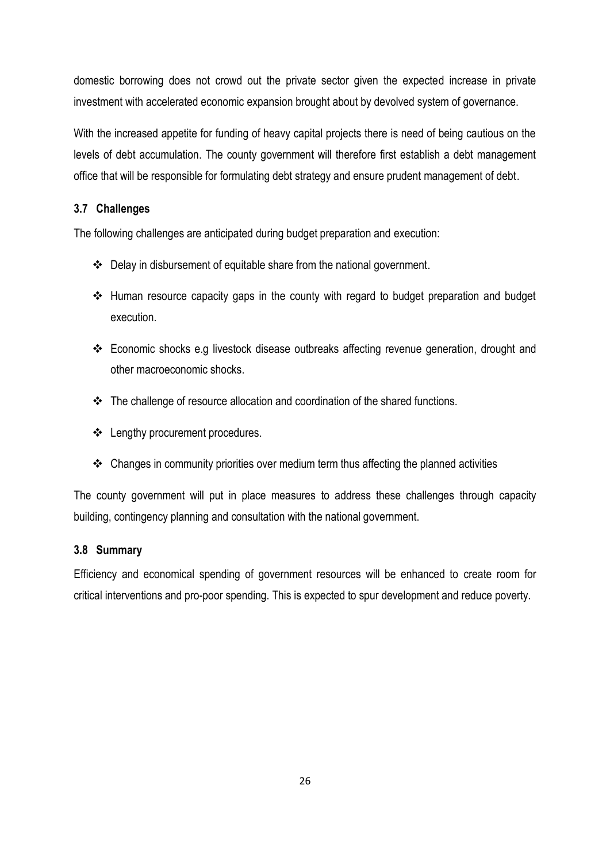domestic borrowing does not crowd out the private sector given the expected increase in private investment with accelerated economic expansion brought about by devolved system of governance.

With the increased appetite for funding of heavy capital projects there is need of being cautious on the levels of debt accumulation. The county government will therefore first establish a debt management office that will be responsible for formulating debt strategy and ensure prudent management of debt.

### <span id="page-32-0"></span>**3.7 Challenges**

The following challenges are anticipated during budget preparation and execution:

- Delay in disbursement of equitable share from the national government.
- Human resource capacity gaps in the county with regard to budget preparation and budget execution.
- Economic shocks e.g livestock disease outbreaks affecting revenue generation, drought and other macroeconomic shocks.
- \* The challenge of resource allocation and coordination of the shared functions.
- ❖ Lengthy procurement procedures.
- $\triangleleft$  Changes in community priorities over medium term thus affecting the planned activities

The county government will put in place measures to address these challenges through capacity building, contingency planning and consultation with the national government.

### <span id="page-32-1"></span>**3.8 Summary**

Efficiency and economical spending of government resources will be enhanced to create room for critical interventions and pro-poor spending. This is expected to spur development and reduce poverty.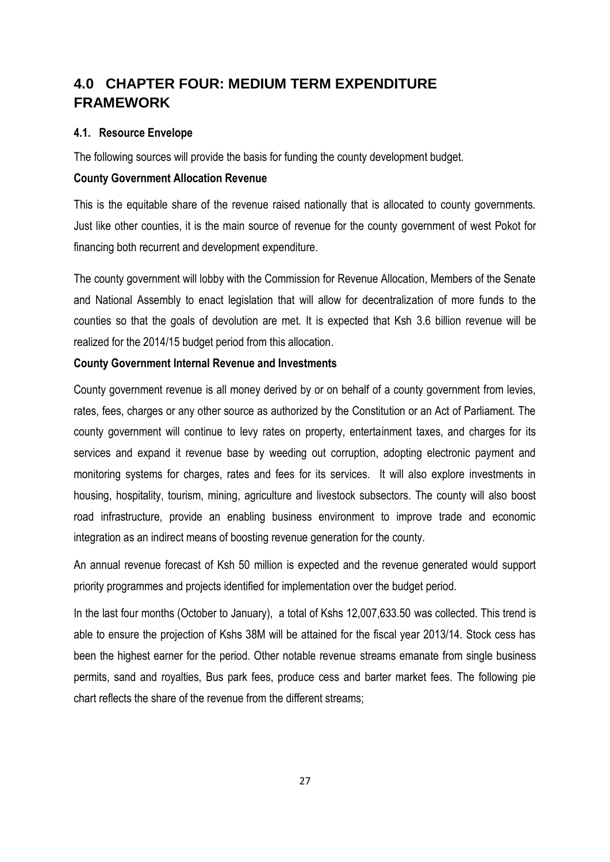## <span id="page-33-0"></span>**4.0 CHAPTER FOUR: MEDIUM TERM EXPENDITURE FRAMEWORK**

### <span id="page-33-1"></span>**4.1. Resource Envelope**

The following sources will provide the basis for funding the county development budget.

### **County Government Allocation Revenue**

This is the equitable share of the revenue raised nationally that is allocated to county governments. Just like other counties, it is the main source of revenue for the county government of west Pokot for financing both recurrent and development expenditure.

The county government will lobby with the Commission for Revenue Allocation, Members of the Senate and National Assembly to enact legislation that will allow for decentralization of more funds to the counties so that the goals of devolution are met. It is expected that Ksh 3.6 billion revenue will be realized for the 2014/15 budget period from this allocation.

### **County Government Internal Revenue and Investments**

County government revenue is all money derived by or on behalf of a county government from levies, rates, fees, charges or any other source as authorized by the Constitution or an Act of Parliament. The county government will continue to levy rates on property, entertainment taxes, and charges for its services and expand it revenue base by weeding out corruption, adopting electronic payment and monitoring systems for charges, rates and fees for its services. It will also explore investments in housing, hospitality, tourism, mining, agriculture and livestock subsectors. The county will also boost road infrastructure, provide an enabling business environment to improve trade and economic integration as an indirect means of boosting revenue generation for the county.

An annual revenue forecast of Ksh 50 million is expected and the revenue generated would support priority programmes and projects identified for implementation over the budget period.

In the last four months (October to January), a total of Kshs 12,007,633.50 was collected. This trend is able to ensure the projection of Kshs 38M will be attained for the fiscal year 2013/14. Stock cess has been the highest earner for the period. Other notable revenue streams emanate from single business permits, sand and royalties, Bus park fees, produce cess and barter market fees. The following pie chart reflects the share of the revenue from the different streams;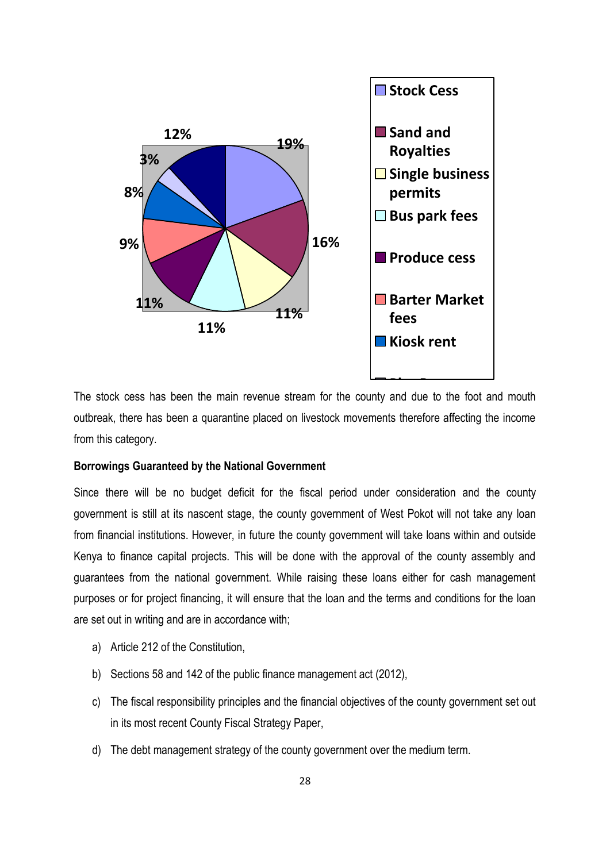

outbreak, there has been a quarantine placed on livestock movements therefore affecting the income The stock cess has been the main revenue stream for the county and due to the foot and mouth from this category.

#### **Borrowings Guaranteed by the National Government**

Since there will be no budget deficit for the fiscal period under consideration and the county government is still at its nascent stage, the county government of West Pokot will not take any loan from financial institutions. However, in future the county government will take loans within and outside Kenya to finance capital projects. This will be done with the approval of the county assembly and guarantees from the national government. While raising these loans either for cash management purposes or for project financing, it will ensure that the loan and the terms and conditions for the loan are set out in writing and are in accordance with;

- a) Article 212 of the Constitution,
- b) Sections 58 and 142 of the public finance management act (2012),
- c) The fiscal responsibility principles and the financial objectives of the county government set out in its most recent County Fiscal Strategy Paper,
- d) The debt management strategy of the county government over the medium term.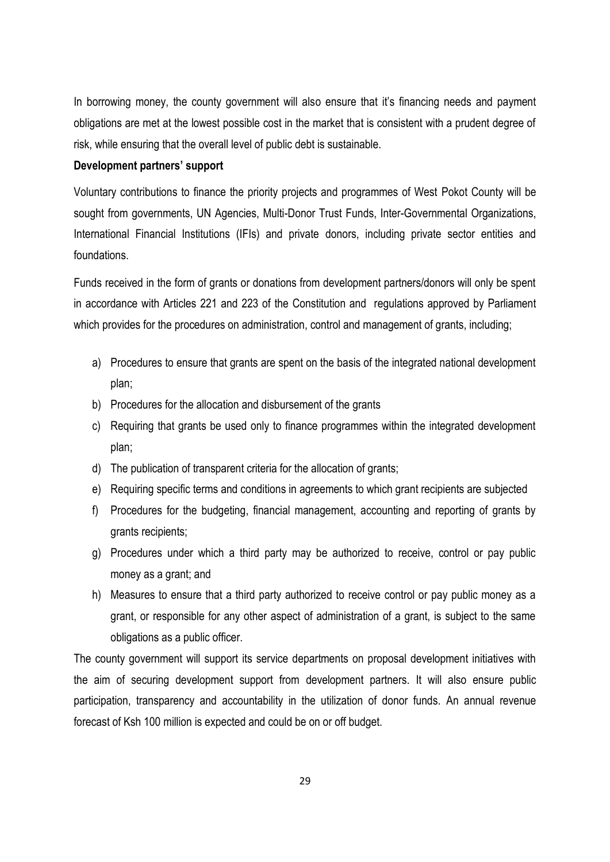In borrowing money, the county government will also ensure that it's financing needs and payment obligations are met at the lowest possible cost in the market that is consistent with a prudent degree of risk, while ensuring that the overall level of public debt is sustainable.

#### **Development partners' support**

Voluntary contributions to finance the priority projects and programmes of West Pokot County will be sought from governments, UN Agencies, Multi-Donor Trust Funds, Inter-Governmental Organizations, International Financial Institutions (IFIs) and private donors, including private sector entities and foundations.

Funds received in the form of grants or donations from development partners/donors will only be spent in accordance with Articles 221 and 223 of the Constitution and regulations approved by Parliament which provides for the procedures on administration, control and management of grants, including;

- a) Procedures to ensure that grants are spent on the basis of the integrated national development plan;
- b) Procedures for the allocation and disbursement of the grants
- c) Requiring that grants be used only to finance programmes within the integrated development plan;
- d) The publication of transparent criteria for the allocation of grants;
- e) Requiring specific terms and conditions in agreements to which grant recipients are subjected
- f) Procedures for the budgeting, financial management, accounting and reporting of grants by grants recipients;
- g) Procedures under which a third party may be authorized to receive, control or pay public money as a grant; and
- h) Measures to ensure that a third party authorized to receive control or pay public money as a grant, or responsible for any other aspect of administration of a grant, is subject to the same obligations as a public officer.

The county government will support its service departments on proposal development initiatives with the aim of securing development support from development partners. It will also ensure public participation, transparency and accountability in the utilization of donor funds. An annual revenue forecast of Ksh 100 million is expected and could be on or off budget.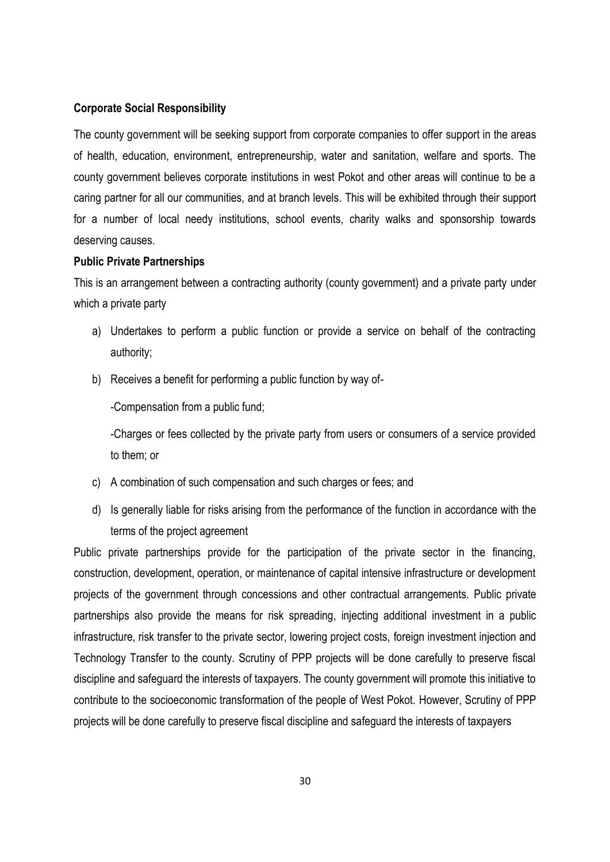### **Corporate Social Responsibility**

The county government will be seeking support from corporate companies to offer support in the areas of health, education, environment, entrepreneurship, water and sanitation, welfare and sports. The county government believes corporate institutions in west Pokot and other areas will continue to be a caring partner for all our communities, and at branch levels. This will be exhibited through their support for a number of local needy institutions, school events, charity walks and sponsorship towards deserving causes.

#### **Public Private Partnerships**

This is an arrangement between a contracting authority (county government) and a private party under which a private party

- a) Undertakes to perform a public function or provide a service on behalf of the contracting authority;
- b) Receives a benefit for performing a public function by way of-

-Compensation from a public fund;

-Charges or fees collected by the private party from users or consumers of a service provided to them; or

- c) A combination of such compensation and such charges or fees; and
- d) Is generally liable for risks arising from the performance of the function in accordance with the terms of the project agreement

Public private partnerships provide for the participation of the private sector in the financing, construction, development, operation, or maintenance of capital intensive infrastructure or development projects of the government through concessions and other contractual arrangements. Public private partnerships also provide the means for risk spreading, injecting additional investment in a public infrastructure, risk transfer to the private sector, lowering project costs, foreign investment injection and Technology Transfer to the county. Scrutiny of PPP projects will be done carefully to preserve fiscal discipline and safeguard the interests of taxpayers. The county government will promote this initiative to contribute to the socioeconomic transformation of the people of West Pokot. However, Scrutiny of PPP projects will be done carefully to preserve fiscal discipline and safeguard the interests of taxpayers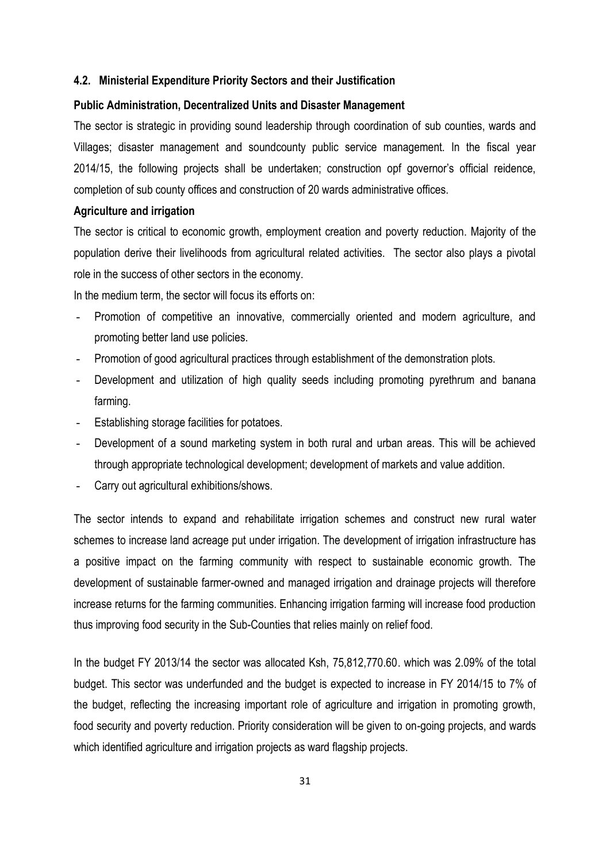#### <span id="page-37-0"></span>**4.2. Ministerial Expenditure Priority Sectors and their Justification**

#### **Public Administration, Decentralized Units and Disaster Management**

The sector is strategic in providing sound leadership through coordination of sub counties, wards and Villages; disaster management and soundcounty public service management. In the fiscal year 2014/15, the following projects shall be undertaken; construction opf governor's official reidence, completion of sub county offices and construction of 20 wards administrative offices.

#### **Agriculture and irrigation**

The sector is critical to economic growth, employment creation and poverty reduction. Majority of the population derive their livelihoods from agricultural related activities. The sector also plays a pivotal role in the success of other sectors in the economy.

In the medium term, the sector will focus its efforts on:

- Promotion of competitive an innovative, commercially oriented and modern agriculture, and promoting better land use policies.
- Promotion of good agricultural practices through establishment of the demonstration plots.
- Development and utilization of high quality seeds including promoting pyrethrum and banana farming.
- Establishing storage facilities for potatoes.
- Development of a sound marketing system in both rural and urban areas. This will be achieved through appropriate technological development; development of markets and value addition.
- Carry out agricultural exhibitions/shows.

The sector intends to expand and rehabilitate irrigation schemes and construct new rural water schemes to increase land acreage put under irrigation. The development of irrigation infrastructure has a positive impact on the farming community with respect to sustainable economic growth. The development of sustainable farmer-owned and managed irrigation and drainage projects will therefore increase returns for the farming communities. Enhancing irrigation farming will increase food production thus improving food security in the Sub-Counties that relies mainly on relief food.

In the budget FY 2013/14 the sector was allocated Ksh, 75,812,770.60. which was 2.09% of the total budget. This sector was underfunded and the budget is expected to increase in FY 2014/15 to 7% of the budget, reflecting the increasing important role of agriculture and irrigation in promoting growth, food security and poverty reduction. Priority consideration will be given to on-going projects, and wards which identified agriculture and irrigation projects as ward flagship projects.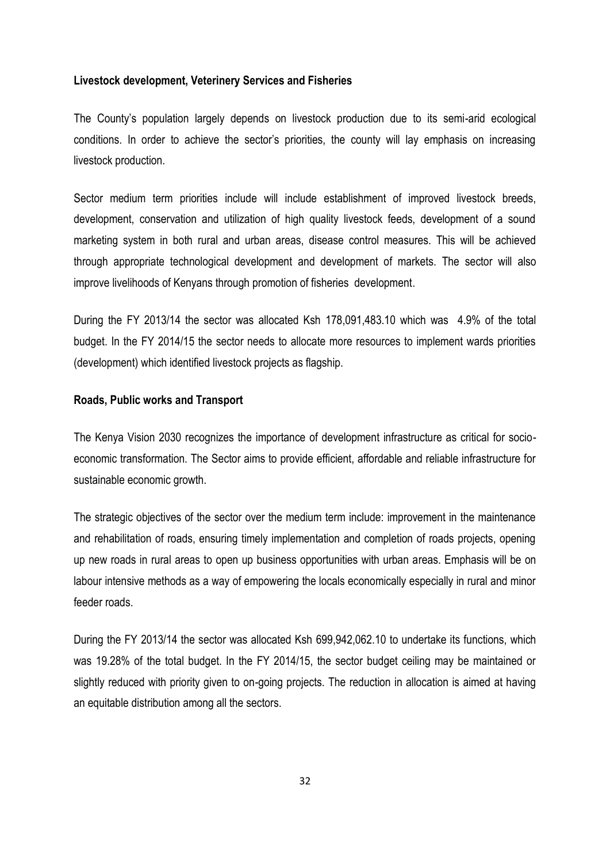#### **Livestock development, Veterinery Services and Fisheries**

The County's population largely depends on livestock production due to its semi-arid ecological conditions. In order to achieve the sector's priorities, the county will lay emphasis on increasing livestock production.

Sector medium term priorities include will include establishment of improved livestock breeds, development, conservation and utilization of high quality livestock feeds, development of a sound marketing system in both rural and urban areas, disease control measures. This will be achieved through appropriate technological development and development of markets. The sector will also improve livelihoods of Kenyans through promotion of fisheries development.

During the FY 2013/14 the sector was allocated Ksh 178,091,483.10 which was 4.9% of the total budget. In the FY 2014/15 the sector needs to allocate more resources to implement wards priorities (development) which identified livestock projects as flagship.

#### **Roads, Public works and Transport**

The Kenya Vision 2030 recognizes the importance of development infrastructure as critical for socioeconomic transformation. The Sector aims to provide efficient, affordable and reliable infrastructure for sustainable economic growth.

The strategic objectives of the sector over the medium term include: improvement in the maintenance and rehabilitation of roads, ensuring timely implementation and completion of roads projects, opening up new roads in rural areas to open up business opportunities with urban areas. Emphasis will be on labour intensive methods as a way of empowering the locals economically especially in rural and minor feeder roads.

During the FY 2013/14 the sector was allocated Ksh 699,942,062.10 to undertake its functions, which was 19.28% of the total budget. In the FY 2014/15, the sector budget ceiling may be maintained or slightly reduced with priority given to on-going projects. The reduction in allocation is aimed at having an equitable distribution among all the sectors.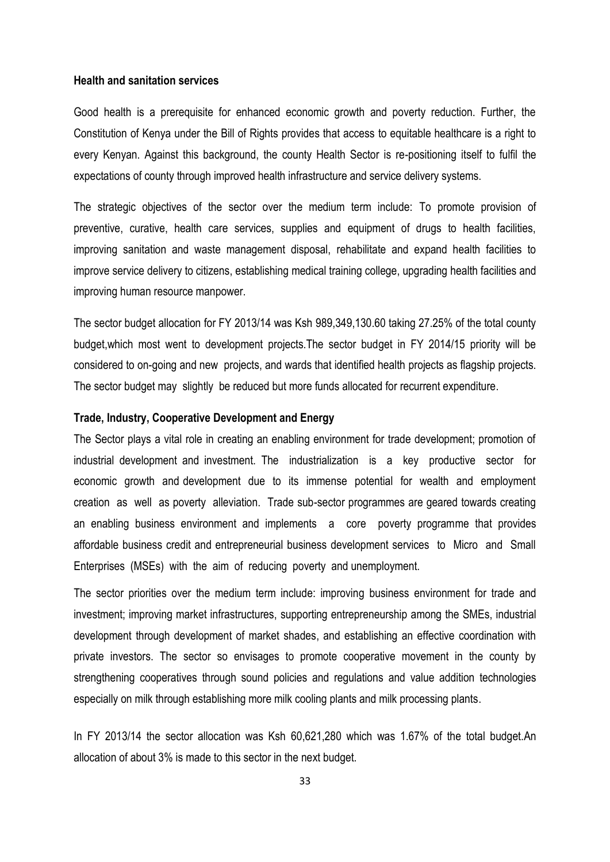#### **Health and sanitation services**

Good health is a prerequisite for enhanced economic growth and poverty reduction. Further, the Constitution of Kenya under the Bill of Rights provides that access to equitable healthcare is a right to every Kenyan. Against this background, the county Health Sector is re-positioning itself to fulfil the expectations of county through improved health infrastructure and service delivery systems.

The strategic objectives of the sector over the medium term include: To promote provision of preventive, curative, health care services, supplies and equipment of drugs to health facilities, improving sanitation and waste management disposal, rehabilitate and expand health facilities to improve service delivery to citizens, establishing medical training college, upgrading health facilities and improving human resource manpower.

The sector budget allocation for FY 2013/14 was Ksh 989,349,130.60 taking 27.25% of the total county budget,which most went to development projects.The sector budget in FY 2014/15 priority will be considered to on-going and new projects, and wards that identified health projects as flagship projects. The sector budget may slightly be reduced but more funds allocated for recurrent expenditure.

#### **Trade, Industry, Cooperative Development and Energy**

The Sector plays a vital role in creating an enabling environment for trade development; promotion of industrial development and investment. The industrialization is a key productive sector for economic growth and development due to its immense potential for wealth and employment creation as well as poverty alleviation. Trade sub-sector programmes are geared towards creating an enabling business environment and implements a core poverty programme that provides affordable business credit and entrepreneurial business development services to Micro and Small Enterprises (MSEs) with the aim of reducing poverty and unemployment.

The sector priorities over the medium term include: improving business environment for trade and investment; improving market infrastructures, supporting entrepreneurship among the SMEs, industrial development through development of market shades, and establishing an effective coordination with private investors. The sector so envisages to promote cooperative movement in the county by strengthening cooperatives through sound policies and regulations and value addition technologies especially on milk through establishing more milk cooling plants and milk processing plants.

In FY 2013/14 the sector allocation was Ksh 60,621,280 which was 1.67% of the total budget.An allocation of about 3% is made to this sector in the next budget.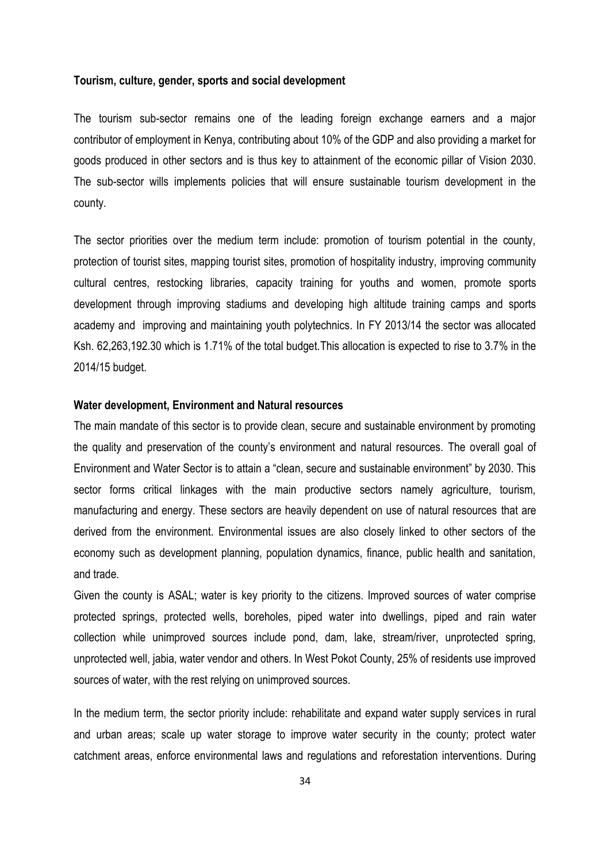#### **Tourism, culture, gender, sports and social development**

The tourism sub-sector remains one of the leading foreign exchange earners and a major contributor of employment in Kenya, contributing about 10% of the GDP and also providing a market for goods produced in other sectors and is thus key to attainment of the economic pillar of Vision 2030. The sub-sector wills implements policies that will ensure sustainable tourism development in the county.

The sector priorities over the medium term include: promotion of tourism potential in the county, protection of tourist sites, mapping tourist sites, promotion of hospitality industry, improving community cultural centres, restocking libraries, capacity training for youths and women, promote sports development through improving stadiums and developing high altitude training camps and sports academy and improving and maintaining youth polytechnics. In FY 2013/14 the sector was allocated Ksh. 62,263,192.30 which is 1.71% of the total budget.This allocation is expected to rise to 3.7% in the 2014/15 budget.

#### **Water development, Environment and Natural resources**

The main mandate of this sector is to provide clean, secure and sustainable environment by promoting the quality and preservation of the county's environment and natural resources. The overall goal of Environment and Water Sector is to attain a "clean, secure and sustainable environment" by 2030. This sector forms critical linkages with the main productive sectors namely agriculture, tourism, manufacturing and energy. These sectors are heavily dependent on use of natural resources that are derived from the environment. Environmental issues are also closely linked to other sectors of the economy such as development planning, population dynamics, finance, public health and sanitation, and trade.

Given the county is ASAL; water is key priority to the citizens. Improved sources of water comprise protected springs, protected wells, boreholes, piped water into dwellings, piped and rain water collection while unimproved sources include pond, dam, lake, stream/river, unprotected spring, unprotected well, jabia, water vendor and others. In West Pokot County, 25% of residents use improved sources of water, with the rest relying on unimproved sources.

In the medium term, the sector priority include: rehabilitate and expand water supply services in rural and urban areas; scale up water storage to improve water security in the county; protect water catchment areas, enforce environmental laws and regulations and reforestation interventions. During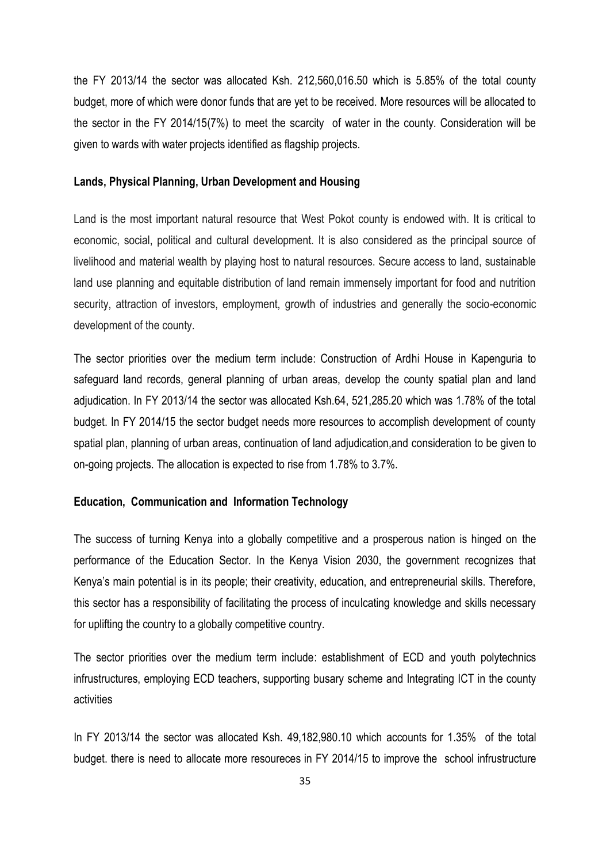the FY 2013/14 the sector was allocated Ksh. 212,560,016.50 which is 5.85% of the total county budget, more of which were donor funds that are yet to be received. More resources will be allocated to the sector in the FY 2014/15(7%) to meet the scarcity of water in the county. Consideration will be given to wards with water projects identified as flagship projects.

#### **Lands, Physical Planning, Urban Development and Housing**

Land is the most important natural resource that West Pokot county is endowed with. It is critical to economic, social, political and cultural development. It is also considered as the principal source of livelihood and material wealth by playing host to natural resources. Secure access to land, sustainable land use planning and equitable distribution of land remain immensely important for food and nutrition security, attraction of investors, employment, growth of industries and generally the socio-economic development of the county.

The sector priorities over the medium term include: Construction of Ardhi House in Kapenguria to safeguard land records, general planning of urban areas, develop the county spatial plan and land adjudication. In FY 2013/14 the sector was allocated Ksh.64, 521,285.20 which was 1.78% of the total budget. In FY 2014/15 the sector budget needs more resources to accomplish development of county spatial plan, planning of urban areas, continuation of land adjudication,and consideration to be given to on-going projects. The allocation is expected to rise from 1.78% to 3.7%.

#### **Education, Communication and Information Technology**

The success of turning Kenya into a globally competitive and a prosperous nation is hinged on the performance of the Education Sector. In the Kenya Vision 2030, the government recognizes that Kenya's main potential is in its people; their creativity, education, and entrepreneurial skills. Therefore, this sector has a responsibility of facilitating the process of inculcating knowledge and skills necessary for uplifting the country to a globally competitive country.

The sector priorities over the medium term include: establishment of ECD and youth polytechnics infrustructures, employing ECD teachers, supporting busary scheme and Integrating ICT in the county activities

In FY 2013/14 the sector was allocated Ksh. 49,182,980.10 which accounts for 1.35% of the total budget. there is need to allocate more resoureces in FY 2014/15 to improve the school infrustructure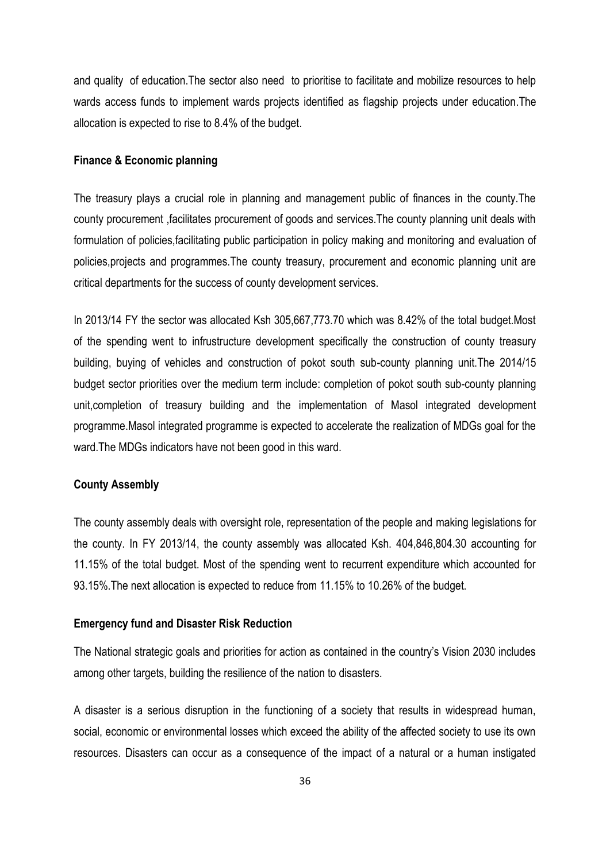and quality of education.The sector also need to prioritise to facilitate and mobilize resources to help wards access funds to implement wards projects identified as flagship projects under education.The allocation is expected to rise to 8.4% of the budget.

#### **Finance & Economic planning**

The treasury plays a crucial role in planning and management public of finances in the county.The county procurement ,facilitates procurement of goods and services.The county planning unit deals with formulation of policies,facilitating public participation in policy making and monitoring and evaluation of policies,projects and programmes.The county treasury, procurement and economic planning unit are critical departments for the success of county development services.

In 2013/14 FY the sector was allocated Ksh 305,667,773.70 which was 8.42% of the total budget.Most of the spending went to infrustructure development specifically the construction of county treasury building, buying of vehicles and construction of pokot south sub-county planning unit.The 2014/15 budget sector priorities over the medium term include: completion of pokot south sub-county planning unit,completion of treasury building and the implementation of Masol integrated development programme.Masol integrated programme is expected to accelerate the realization of MDGs goal for the ward.The MDGs indicators have not been good in this ward.

#### **County Assembly**

The county assembly deals with oversight role, representation of the people and making legislations for the county. In FY 2013/14, the county assembly was allocated Ksh. 404,846,804.30 accounting for 11.15% of the total budget. Most of the spending went to recurrent expenditure which accounted for 93.15%.The next allocation is expected to reduce from 11.15% to 10.26% of the budget.

#### **Emergency fund and Disaster Risk Reduction**

The National strategic goals and priorities for action as contained in the country's Vision 2030 includes among other targets, building the resilience of the nation to disasters.

A disaster is a serious disruption in the functioning of a society that results in widespread human, social, economic or environmental losses which exceed the ability of the affected society to use its own resources. Disasters can occur as a consequence of the impact of a natural or a human instigated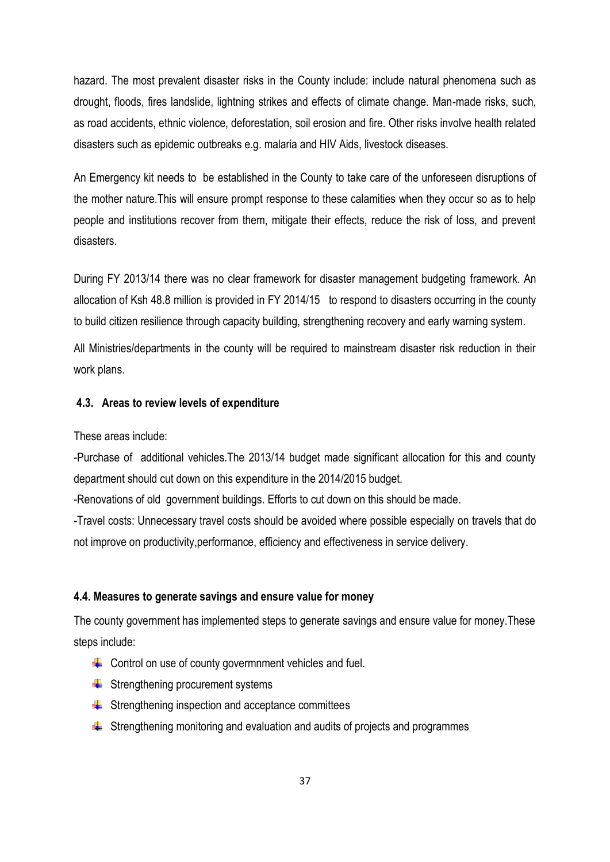hazard. The most prevalent disaster risks in the County include: include natural phenomena such as drought, floods, fires landslide, lightning strikes and effects of climate change. Man-made risks, such, as road accidents, ethnic violence, deforestation, soil erosion and fire. Other risks involve health related disasters such as epidemic outbreaks e.g. malaria and HIV Aids, livestock diseases.

An Emergency kit needs to be established in the County to take care of the unforeseen disruptions of the mother nature.This will ensure prompt response to these calamities when they occur so as to help people and institutions recover from them, mitigate their effects, reduce the risk of loss, and prevent disasters.

During FY 2013/14 there was no clear framework for disaster management budgeting framework. An allocation of Ksh 48.8 million is provided in FY 2014/15 to respond to disasters occurring in the county to build citizen resilience through capacity building, strengthening recovery and early warning system.

All Ministries/departments in the county will be required to mainstream disaster risk reduction in their work plans.

#### <span id="page-43-0"></span>**4.3. Areas to review levels of expenditure**

These areas include:

-Purchase of additional vehicles.The 2013/14 budget made significant allocation for this and county department should cut down on this expenditure in the 2014/2015 budget.

-Renovations of old government buildings. Efforts to cut down on this should be made.

-Travel costs: Unnecessary travel costs should be avoided where possible especially on travels that do not improve on productivity,performance, efficiency and effectiveness in service delivery.

#### <span id="page-43-1"></span>**4.4. Measures to generate savings and ensure value for money**

The county government has implemented steps to generate savings and ensure value for money.These steps include:

- $\div$  Control on use of county govermnment vehicles and fuel.
- $\bigstar$  Strengthening procurement systems
- $\bigstar$  Strengthening inspection and acceptance committees
- $\frac{1}{\sqrt{1}}$  Strengthening monitoring and evaluation and audits of projects and programmes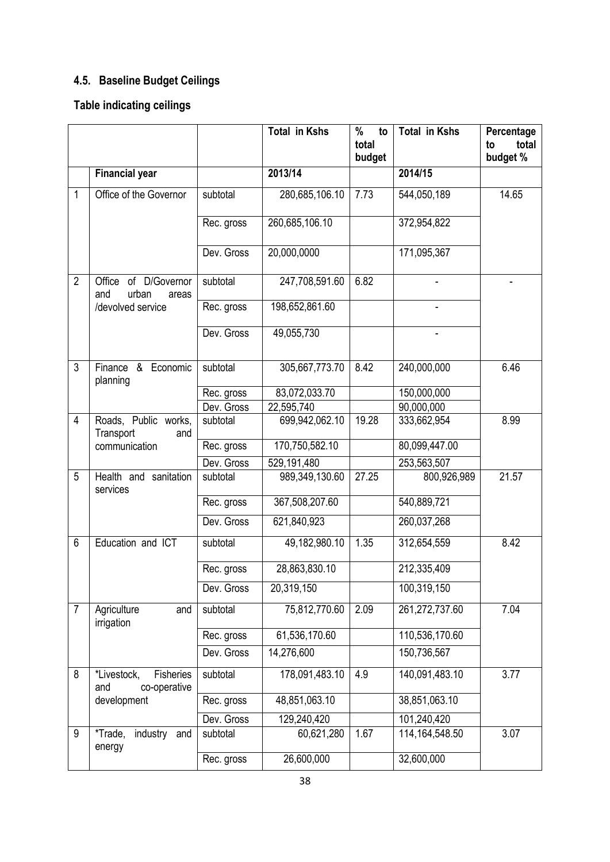## <span id="page-44-0"></span>**4.5. Baseline Budget Ceilings**

## **Table indicating ceilings**

|                |                                                 |            | <b>Total in Kshs</b> | %<br>to<br>total<br>budget | <b>Total in Kshs</b> | Percentage<br>total<br>to<br>budget % |
|----------------|-------------------------------------------------|------------|----------------------|----------------------------|----------------------|---------------------------------------|
|                | <b>Financial year</b>                           |            | 2013/14              |                            | 2014/15              |                                       |
| 1              | Office of the Governor                          | subtotal   | 280,685,106.10       | 7.73                       | 544,050,189          | 14.65                                 |
|                |                                                 | Rec. gross | 260,685,106.10       |                            | 372,954,822          |                                       |
|                |                                                 | Dev. Gross | 20,000,0000          |                            | 171,095,367          |                                       |
| $\overline{2}$ | Office of D/Governor<br>urban<br>and<br>areas   | subtotal   | 247,708,591.60       | 6.82                       |                      |                                       |
|                | /devolved service                               | Rec. gross | 198,652,861.60       |                            |                      |                                       |
|                |                                                 | Dev. Gross | 49,055,730           |                            |                      |                                       |
| 3              | Finance & Economic<br>planning                  | subtotal   | 305,667,773.70       | 8.42                       | 240,000,000          | 6.46                                  |
|                |                                                 | Rec. gross | 83,072,033.70        |                            | 150,000,000          |                                       |
|                |                                                 | Dev. Gross | 22,595,740           |                            | 90,000,000           |                                       |
| $\overline{4}$ | Roads, Public works,<br>Transport<br>and        | subtotal   | 699,942,062.10       | 19.28                      | 333,662,954          | 8.99                                  |
|                | communication                                   | Rec. gross | 170,750,582.10       |                            | 80,099,447.00        |                                       |
|                |                                                 | Dev. Gross | 529,191,480          |                            | 253,563,507          |                                       |
| 5              | Health and sanitation<br>services               | subtotal   | 989,349,130.60       | 27.25                      | 800,926,989          | 21.57                                 |
|                |                                                 | Rec. gross | 367,508,207.60       |                            | 540,889,721          |                                       |
|                |                                                 | Dev. Gross | 621,840,923          |                            | 260,037,268          |                                       |
| 6              | Education and ICT                               | subtotal   | 49,182,980.10        | 1.35                       | 312,654,559          | 8.42                                  |
|                |                                                 | Rec. gross | 28,863,830.10        |                            | 212,335,409          |                                       |
|                |                                                 | Dev. Gross | 20,319,150           |                            | 100,319,150          |                                       |
| $\overline{7}$ | Agriculture<br>and<br>irrigation                | subtotal   | 75,812,770.60        | 2.09                       | 261,272,737.60       | 7.04                                  |
|                |                                                 | Rec. gross | 61,536,170.60        |                            | 110,536,170.60       |                                       |
|                |                                                 | Dev. Gross | 14,276,600           |                            | 150,736,567          |                                       |
| 8              | *Livestock,<br>Fisheries<br>and<br>co-operative | subtotal   | 178,091,483.10       | 4.9                        | 140,091,483.10       | 3.77                                  |
|                | development                                     | Rec. gross | 48,851,063.10        |                            | 38,851,063.10        |                                       |
|                |                                                 | Dev. Gross | 129,240,420          |                            | 101,240,420          |                                       |
| 9              | *Trade,<br>industry<br>and<br>energy            | subtotal   | 60,621,280           | 1.67                       | 114, 164, 548.50     | 3.07                                  |
|                |                                                 | Rec. gross | 26,600,000           |                            | 32,600,000           |                                       |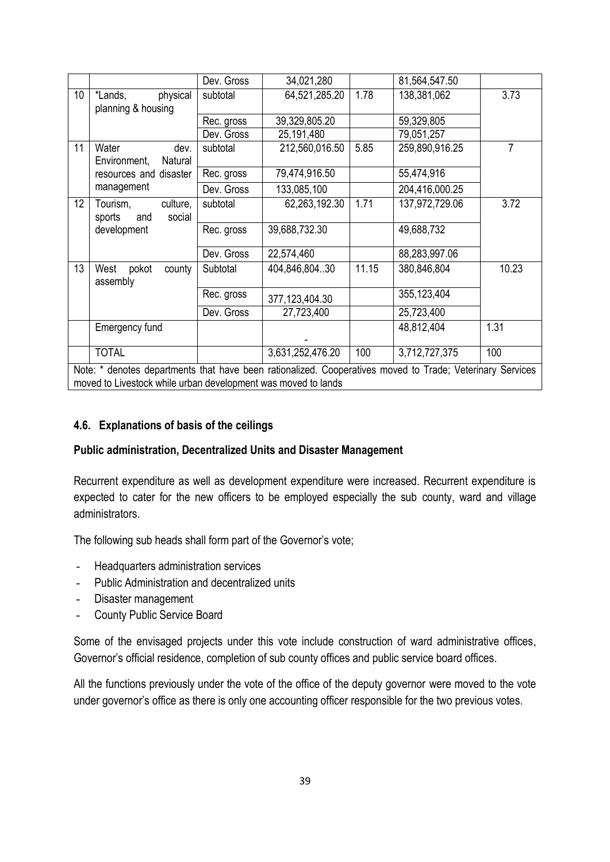|                                                                                                                                                                            |                                                 | Dev. Gross | 34,021,280       |       | 81,564,547.50  |                |
|----------------------------------------------------------------------------------------------------------------------------------------------------------------------------|-------------------------------------------------|------------|------------------|-------|----------------|----------------|
| 10 <sup>1</sup>                                                                                                                                                            | physical<br>*Lands,                             | subtotal   | 64,521,285.20    | 1.78  | 138,381,062    | 3.73           |
|                                                                                                                                                                            | planning & housing                              |            |                  |       |                |                |
|                                                                                                                                                                            |                                                 | Rec. gross | 39,329,805.20    |       | 59,329,805     |                |
|                                                                                                                                                                            |                                                 | Dev. Gross | 25,191,480       |       | 79,051,257     |                |
| 11                                                                                                                                                                         | Water<br>dev.                                   | subtotal   | 212,560,016.50   | 5.85  | 259,890,916.25 | $\overline{7}$ |
|                                                                                                                                                                            | Environment,<br>Natural                         |            |                  |       |                |                |
|                                                                                                                                                                            | resources and disaster                          | Rec. gross | 79,474,916.50    |       | 55,474,916     |                |
|                                                                                                                                                                            | management                                      | Dev. Gross | 133,085,100      |       | 204,416,000.25 |                |
| 12                                                                                                                                                                         | Tourism,<br>culture,<br>sports<br>and<br>social | subtotal   | 62,263,192.30    | 1.71  | 137,972,729.06 | 3.72           |
|                                                                                                                                                                            | development                                     | Rec. gross | 39,688,732.30    |       | 49,688,732     |                |
|                                                                                                                                                                            |                                                 | Dev. Gross | 22,574,460       |       | 88,283,997.06  |                |
| 13                                                                                                                                                                         | pokot<br>West<br>county<br>assembly             | Subtotal   | 404,846,804.30   | 11.15 | 380,846,804    | 10.23          |
|                                                                                                                                                                            |                                                 | Rec. gross | 377,123,404.30   |       | 355, 123, 404  |                |
|                                                                                                                                                                            |                                                 | Dev. Gross | 27,723,400       |       | 25,723,400     |                |
|                                                                                                                                                                            | Emergency fund                                  |            |                  |       | 48,812,404     | 1.31           |
|                                                                                                                                                                            | <b>TOTAL</b>                                    |            | 3,631,252,476.20 | 100   | 3,712,727,375  | 100            |
| Note: * denotes departments that have been rationalized. Cooperatives moved to Trade; Veterinary Services<br>moved to Livestock while urban development was moved to lands |                                                 |            |                  |       |                |                |

### <span id="page-45-0"></span>**4.6. Explanations of basis of the ceilings**

#### **Public administration, Decentralized Units and Disaster Management**

Recurrent expenditure as well as development expenditure were increased. Recurrent expenditure is expected to cater for the new officers to be employed especially the sub county, ward and village administrators.

The following sub heads shall form part of the Governor's vote;

- Headquarters administration services
- Public Administration and decentralized units
- Disaster management
- County Public Service Board

Some of the envisaged projects under this vote include construction of ward administrative offices, Governor's official residence, completion of sub county offices and public service board offices.

All the functions previously under the vote of the office of the deputy governor were moved to the vote under governor's office as there is only one accounting officer responsible for the two previous votes.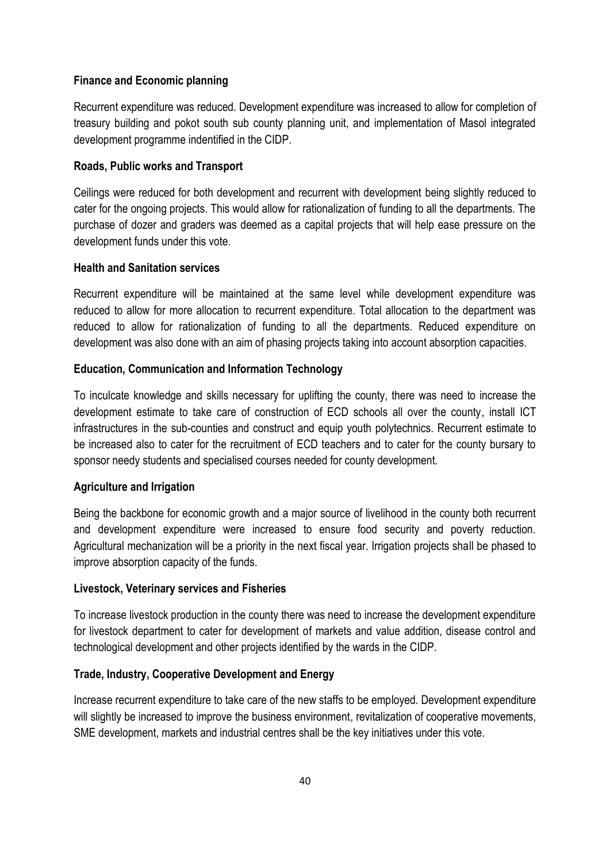### **Finance and Economic planning**

Recurrent expenditure was reduced. Development expenditure was increased to allow for completion of treasury building and pokot south sub county planning unit, and implementation of Masol integrated development programme indentified in the CIDP.

### **Roads, Public works and Transport**

Ceilings were reduced for both development and recurrent with development being slightly reduced to cater for the ongoing projects. This would allow for rationalization of funding to all the departments. The purchase of dozer and graders was deemed as a capital projects that will help ease pressure on the development funds under this vote.

### **Health and Sanitation services**

Recurrent expenditure will be maintained at the same level while development expenditure was reduced to allow for more allocation to recurrent expenditure. Total allocation to the department was reduced to allow for rationalization of funding to all the departments. Reduced expenditure on development was also done with an aim of phasing projects taking into account absorption capacities.

### **Education, Communication and Information Technology**

To inculcate knowledge and skills necessary for uplifting the county, there was need to increase the development estimate to take care of construction of ECD schools all over the county, install ICT infrastructures in the sub-counties and construct and equip youth polytechnics. Recurrent estimate to be increased also to cater for the recruitment of ECD teachers and to cater for the county bursary to sponsor needy students and specialised courses needed for county development.

### **Agriculture and Irrigation**

Being the backbone for economic growth and a major source of livelihood in the county both recurrent and development expenditure were increased to ensure food security and poverty reduction. Agricultural mechanization will be a priority in the next fiscal year. Irrigation projects shall be phased to improve absorption capacity of the funds.

### **Livestock, Veterinary services and Fisheries**

To increase livestock production in the county there was need to increase the development expenditure for livestock department to cater for development of markets and value addition, disease control and technological development and other projects identified by the wards in the CIDP.

### **Trade, Industry, Cooperative Development and Energy**

Increase recurrent expenditure to take care of the new staffs to be employed. Development expenditure will slightly be increased to improve the business environment, revitalization of cooperative movements, SME development, markets and industrial centres shall be the key initiatives under this vote.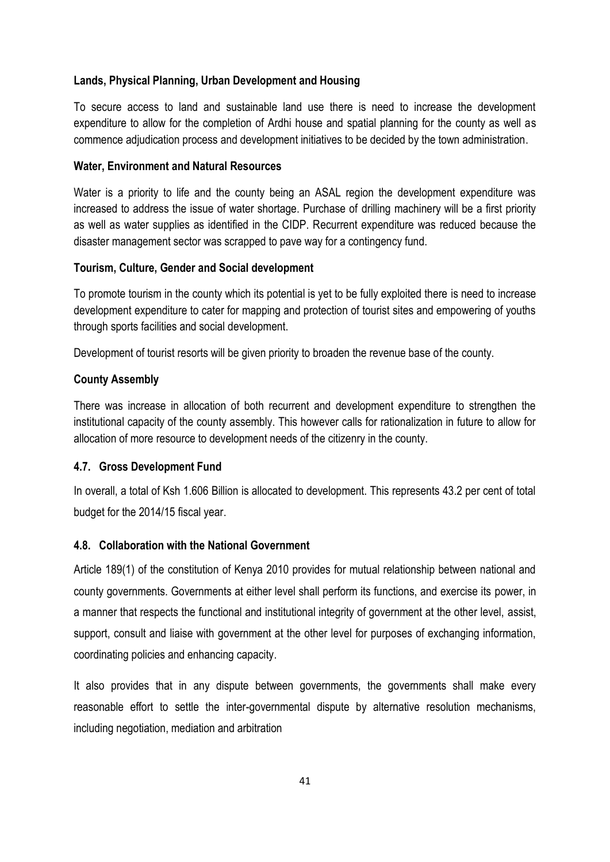### **Lands, Physical Planning, Urban Development and Housing**

To secure access to land and sustainable land use there is need to increase the development expenditure to allow for the completion of Ardhi house and spatial planning for the county as well as commence adjudication process and development initiatives to be decided by the town administration.

### **Water, Environment and Natural Resources**

Water is a priority to life and the county being an ASAL region the development expenditure was increased to address the issue of water shortage. Purchase of drilling machinery will be a first priority as well as water supplies as identified in the CIDP. Recurrent expenditure was reduced because the disaster management sector was scrapped to pave way for a contingency fund.

### **Tourism, Culture, Gender and Social development**

To promote tourism in the county which its potential is yet to be fully exploited there is need to increase development expenditure to cater for mapping and protection of tourist sites and empowering of youths through sports facilities and social development.

Development of tourist resorts will be given priority to broaden the revenue base of the county.

### **County Assembly**

There was increase in allocation of both recurrent and development expenditure to strengthen the institutional capacity of the county assembly. This however calls for rationalization in future to allow for allocation of more resource to development needs of the citizenry in the county.

### <span id="page-47-0"></span>**4.7. Gross Development Fund**

In overall, a total of Ksh 1.606 Billion is allocated to development. This represents 43.2 per cent of total budget for the 2014/15 fiscal year.

### <span id="page-47-1"></span>**4.8. Collaboration with the National Government**

Article 189(1) of the constitution of Kenya 2010 provides for mutual relationship between national and county governments. Governments at either level shall perform its functions, and exercise its power, in a manner that respects the functional and institutional integrity of government at the other level, assist, support, consult and liaise with government at the other level for purposes of exchanging information, coordinating policies and enhancing capacity.

It also provides that in any dispute between governments, the governments shall make every reasonable effort to settle the inter-governmental dispute by alternative resolution mechanisms, including negotiation, mediation and arbitration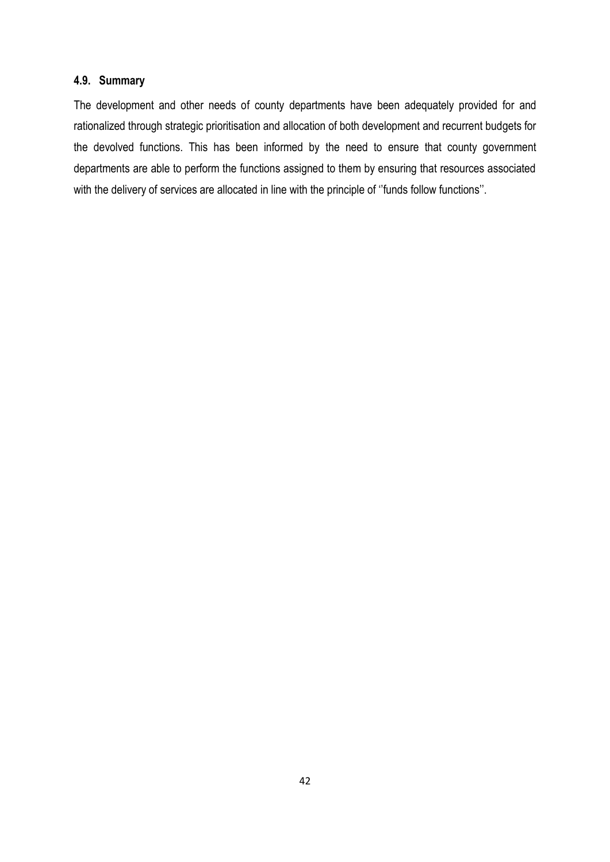### <span id="page-48-0"></span>**4.9. Summary**

The development and other needs of county departments have been adequately provided for and rationalized through strategic prioritisation and allocation of both development and recurrent budgets for the devolved functions. This has been informed by the need to ensure that county government departments are able to perform the functions assigned to them by ensuring that resources associated with the delivery of services are allocated in line with the principle of "funds follow functions".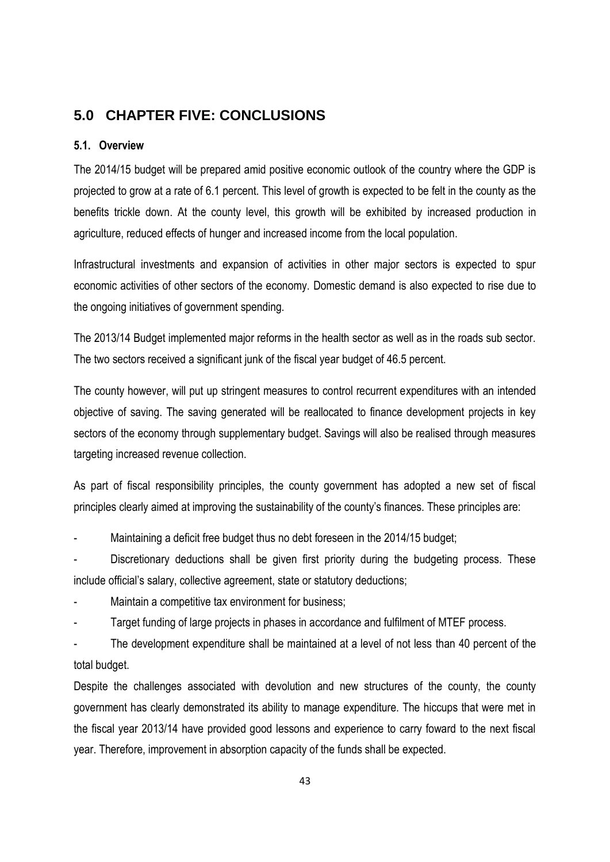### <span id="page-49-0"></span>**5.0 CHAPTER FIVE: CONCLUSIONS**

### <span id="page-49-1"></span>**5.1. Overview**

The 2014/15 budget will be prepared amid positive economic outlook of the country where the GDP is projected to grow at a rate of 6.1 percent. This level of growth is expected to be felt in the county as the benefits trickle down. At the county level, this growth will be exhibited by increased production in agriculture, reduced effects of hunger and increased income from the local population.

Infrastructural investments and expansion of activities in other major sectors is expected to spur economic activities of other sectors of the economy. Domestic demand is also expected to rise due to the ongoing initiatives of government spending.

The 2013/14 Budget implemented major reforms in the health sector as well as in the roads sub sector. The two sectors received a significant junk of the fiscal year budget of 46.5 percent.

The county however, will put up stringent measures to control recurrent expenditures with an intended objective of saving. The saving generated will be reallocated to finance development projects in key sectors of the economy through supplementary budget. Savings will also be realised through measures targeting increased revenue collection.

As part of fiscal responsibility principles, the county government has adopted a new set of fiscal principles clearly aimed at improving the sustainability of the county's finances. These principles are:

Maintaining a deficit free budget thus no debt foreseen in the 2014/15 budget;

Discretionary deductions shall be given first priority during the budgeting process. These include official's salary, collective agreement, state or statutory deductions;

- Maintain a competitive tax environment for business;
- Target funding of large projects in phases in accordance and fulfilment of MTEF process.

- The development expenditure shall be maintained at a level of not less than 40 percent of the total budget.

Despite the challenges associated with devolution and new structures of the county, the county government has clearly demonstrated its ability to manage expenditure. The hiccups that were met in the fiscal year 2013/14 have provided good lessons and experience to carry foward to the next fiscal year. Therefore, improvement in absorption capacity of the funds shall be expected.